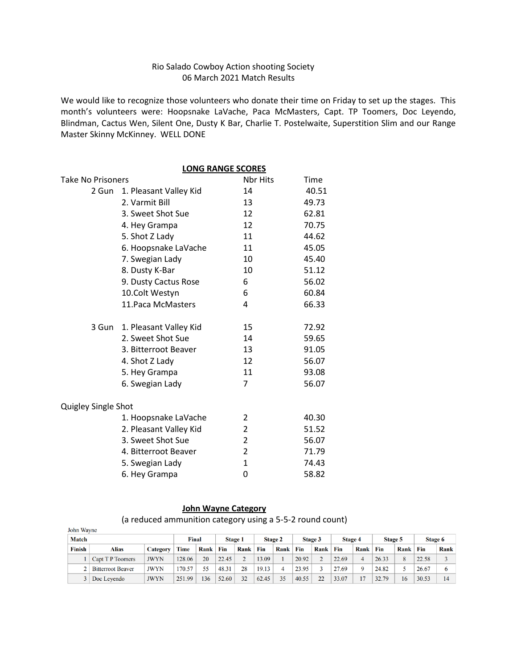#### Rio Salado Cowboy Action shooting Society 06 March 2021 Match Results

We would like to recognize those volunteers who donate their time on Friday to set up the stages. This month's volunteers were: Hoopsnake LaVache, Paca McMasters, Capt. TP Toomers, Doc Leyendo, Blindman, Cactus Wen, Silent One, Dusty K Bar, Charlie T. Postelwaite, Superstition Slim and our Range Master Skinny McKinney. WELL DONE

|                          | <b>LONG RANGE SCORES</b>     |          |       |
|--------------------------|------------------------------|----------|-------|
| <b>Take No Prisoners</b> |                              | Nbr Hits | Time  |
| 2 Gun                    | 1. Pleasant Valley Kid       | 14       | 40.51 |
|                          | 2. Varmit Bill               | 13       | 49.73 |
|                          | 3. Sweet Shot Sue            | 12       | 62.81 |
|                          | 4. Hey Grampa                | 12       | 70.75 |
|                          | 5. Shot Z Lady               | 11       | 44.62 |
|                          | 6. Hoopsnake LaVache         | 11       | 45.05 |
|                          | 7. Swegian Lady              | 10       | 45.40 |
|                          | 8. Dusty K-Bar               | 10       | 51.12 |
|                          | 9. Dusty Cactus Rose         | 6        | 56.02 |
|                          | 10.Colt Westyn               | 6        | 60.84 |
|                          | 11. Paca McMasters           | 4        | 66.33 |
|                          | 3 Gun 1. Pleasant Valley Kid | 15       | 72.92 |
|                          | 2. Sweet Shot Sue            | 14       | 59.65 |
|                          | 3. Bitterroot Beaver         | 13       | 91.05 |
|                          | 4. Shot Z Lady               | 12       | 56.07 |
|                          | 5. Hey Grampa                | 11       | 93.08 |
|                          | 6. Swegian Lady              | 7        | 56.07 |
| Quigley Single Shot      |                              |          |       |
|                          | 1. Hoopsnake LaVache         | 2        | 40.30 |
|                          | 2. Pleasant Valley Kid       | 2        | 51.52 |
|                          | 3. Sweet Shot Sue            | 2        | 56.07 |
|                          | 4. Bitterroot Beaver         | 2        | 71.79 |
|                          | 5. Swegian Lady              | 1        | 74.43 |
|                          | 6. Hey Grampa                | 0        | 58.82 |

#### **John Wayne Category**

(a reduced ammunition category using a 5-5-2 round count)

| John Wayne    |                          |                 |        |      | . .   |               | . .   |                |       |         |                |      |         |      |         |      |
|---------------|--------------------------|-----------------|--------|------|-------|---------------|-------|----------------|-------|---------|----------------|------|---------|------|---------|------|
| <b>Match</b>  |                          |                 | Final  |      |       | Stage 1       |       | <b>Stage 2</b> |       | Stage 3 | <b>Stage 4</b> |      | Stage 5 |      | Stage 6 |      |
| <b>Finish</b> | Alias                    | <b>Category</b> | Time   | Rank | Fin   | Rank          | Fin   | Rank           | Fin   | Rank    | Fin            | Rank | Fin     | Rank | Fin     | Rank |
|               | Capt T P Toomers         | <b>JWYN</b>     | 128.06 | 20   | 22.45 | $\mathcal{D}$ | 13.09 |                | 20.92 |         | 22.69          | 4    | 26.33   | 8    | 22.58   |      |
|               | <b>Bitterroot Beaver</b> | <b>JWYN</b>     | 170.57 | 55   | 48.31 | 28            | 19.13 | 4              | 23.95 |         | 27.69          | Q    | 24.82   |      | 26.67   | 6    |
|               | Doc Levendo              | <b>JWYN</b>     | 251.99 | 136  | 52.60 | 32            | 62.45 | 35             | 40.55 | 22      | 33.07          |      | 32.79   | 16   | 30.53   | 14   |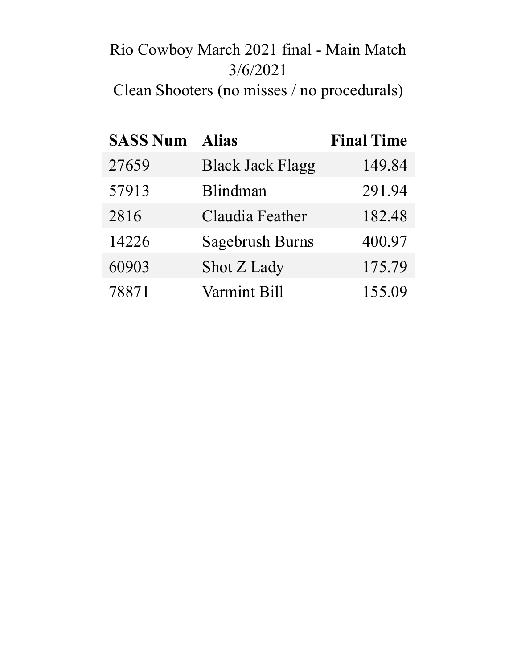# Rio Cowboy March 2021 final - Main Match 3/6/2021

Clean Shooters (no misses / no procedurals)

| <b>SASS Num Alias</b> |                         | <b>Final Time</b> |
|-----------------------|-------------------------|-------------------|
| 27659                 | <b>Black Jack Flagg</b> | 149.84            |
| 57913                 | Blindman                | 291.94            |
| 2816                  | Claudia Feather         | 182.48            |
| 14226                 | <b>Sagebrush Burns</b>  | 400.97            |
| 60903                 | Shot Z Lady             | 175.79            |
| 78871                 | <b>Varmint Bill</b>     | 155.09            |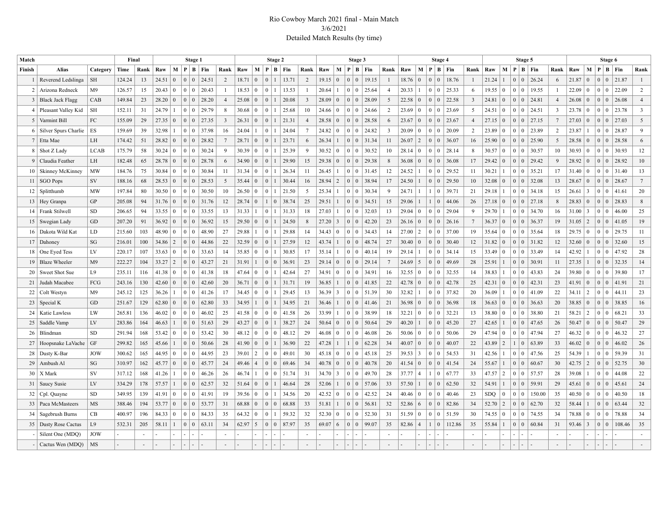#### Rio Cowboy March 2021 final - Main Match 3/6/2021 Detailed Match Results (by time)

| <b>Alias</b><br>M   P   B   Fin<br>Rank<br>M   P   B   Fin<br>M <sub>1</sub><br>Rank<br>M   P   B   Fin<br>M   P   B   Fin<br>M<br>Rank<br>Category<br>Time<br>Raw<br>Raw<br>Rank<br>Raw<br>$P \mid B \mid Fin$<br>Raw<br>Rank<br>Raw<br>Rank<br>Raw<br>$P \mid B \mid Fin$<br>Finish<br>Rank<br>1 Reverend Ledslinga<br>13<br>24.51<br>$\mathbf{0}$<br>$\mathbf{0}$<br>24.51<br>$\vert 0 \vert$<br>$\mathbf{0}$<br>13.71<br>2<br>$\mathbf{0}$<br>19.15<br>18.76<br>18.76<br>21.24<br>26.24<br>21.87<br>SH<br>124.24<br>$\overline{0}$<br>2<br>18.71<br>19.15<br>$\overline{0}$<br>$\overline{0}$<br>$\overline{0}$<br>$\vert$ 1<br>$\Omega$<br>6<br>21.87<br>$\overline{0}$<br>0 <sup>0</sup><br>$\overline{1}$<br>$\Omega$<br>$\mathbf{1}$<br>-1<br>$\vert 0 \vert$<br>$\Omega$<br>126.57<br>25.33<br>19.55<br>22.09<br>22.09<br>$\overline{2}$<br>2   Arizona Redneck<br>M9<br>15<br>20.43<br>20.43<br>18.53<br>13.53<br>20.64<br>25.64<br>20.33<br>19.55<br>$\Omega$<br>$\Omega$<br>$\Omega$<br>$\mathbf{0}$<br>$\Omega$<br>-1<br>$\mathbf{0}$<br>$\overline{4}$<br>$\mathbf{0}$<br>6<br>$\mathbf{0}$<br>$\Omega$<br>$\Omega$<br>$\theta$<br>$\mathbf{0}$<br>$\mathbf{0}$<br>-1<br>CAB<br>149.84<br>23<br>28.20<br>$\mathbf{0}$<br>$\overline{0}$<br>28.20<br>25.08<br>$\overline{0}$<br>20.08<br>$\overline{3}$<br>28.09<br>$\overline{0}$<br>$\vert 0 \vert$<br>28.09<br>22.58<br>22.58<br>24.81<br>24.81<br>26.08<br>26.08<br>3   Black Jack Flagg<br>$\mathbf{0}$<br>5<br>$\overline{0}$<br>$\mathbf{0}$<br>$\mathbf{0}$<br>$0 \mid 0$<br>$\overline{4}$<br>$\Omega$<br>$\Omega$<br>3<br>$\Omega$<br>$\overline{0}$<br>$\Omega$<br>$\Omega$<br>$\overline{4}$<br>$\overline{0}$<br>$\overline{0}$<br>23.69<br>24.51<br>23.78<br>23.78<br>$\overline{\mathbf{3}}$<br>4   Pleasant Valley Kid<br><b>SH</b><br>152.11<br>31<br>24.79<br>$\overline{0}$<br>29.79<br>30.68<br>$\mathbf{0}$<br>$\Omega$<br>25.68<br>10<br>24.66<br>$\overline{0}$<br>$\theta$<br>24.66<br>$\overline{2}$<br>23.69<br>5<br>24.51<br>$\overline{0}$<br>$\vert$ 0 $\vert$<br>$\overline{\mathbf{3}}$<br>$\mathbf{0}$<br>$\Omega$<br>-8<br>$\Omega$<br>$\Omega$<br>$\Omega$<br>  0<br>0<br>FC<br>29<br>27.15<br>27.03<br>5<br>5 Varmint Bill<br>155.09<br>27.35<br>$\overline{0}$<br>$\vert 0 \vert$<br>27.35<br>$\overline{\mathbf{3}}$<br>26.31<br>$\Omega$<br>21.31<br>$\overline{4}$<br>28.58<br>$\overline{0}$<br>$\overline{0}$<br>28.58<br>6<br>23.67<br>$\vert 0 \vert$<br>23.67<br>$27.15 \mid 0$<br>7<br>27.03<br>$\mathbf{0}$<br>0 <sup>10</sup><br>$\Omega$<br>$\overline{0}$<br>$\overline{0}$<br>$\overline{0}$<br>$\overline{4}$<br>0 <sup>0</sup><br>$\overline{0}$<br>6 Silver Spurs Charlie<br>159.69<br>39<br>32.98<br>37.98<br>24.04<br>24.04<br>$7\phantom{.0}$<br>24.82<br>20.09<br>23.89<br>2<br>28.87<br>9<br>ES<br>0 <sup>1</sup><br>16<br>$\overline{0}$<br>24.82<br>$\overline{0}$<br>$\vert 0 \vert$<br>3<br>20.09<br>$\Omega$<br>$\vert 0 \vert$<br>2<br>23.89<br>$\overline{0}$<br>23.87<br>$0 \mid 0$<br>$\Omega$<br>0 <sup>10</sup><br>$\bf{0}$<br>$\overline{2}$<br>7 Etta Mae<br>LH<br>174.42<br>51<br>28.82<br>$\overline{0}$<br>$\overline{0}$<br>28.82<br>28.71<br>$\overline{0}$<br>23.71<br>6<br>26.34<br>31.34<br>26.07<br>36.07<br>25.90<br>25.90<br>28.58<br>28.58<br>6<br>$\Omega$<br>$\mathbf{0}$<br>$\overline{0}$<br>11<br>$\overline{0}$<br>16<br>$\mathbf{0}$<br>-5<br>$\mathbf{0}$<br>0 <sup>0</sup><br>$\Omega$<br>$\mathbf{0}$<br>$\overline{0}$<br>0<br>8   Shot Z Lady<br>175.79<br>$\mathbf{0}$<br>$\mathbf{0}$<br>30.24<br>$\Omega$<br>25.39<br>30.52<br>$\overline{0}$<br>30.52<br>28.14<br>30.57<br>30.57<br>30.93<br>$\overline{0}$<br>30.93<br>12<br><b>LCAB</b><br>58<br>30.24<br>$\Omega$<br>30.39<br>$\theta$<br>9<br>$\Omega$<br>10<br>28.14<br>$\mathbf{0}$<br>$\overline{0}$<br>10<br>$\Omega$<br>$\Omega$<br>- 9<br>$\bf{0}$<br>8<br>$\Omega$<br>$\Omega$<br>$\Omega$<br>$\overline{0}$<br>$\theta$<br>9 Claudia Feather<br>LH<br>182.48<br>65<br>28.78<br>$\Omega$<br>$\overline{0}$<br>28.78<br>34.90<br>$\overline{0}$<br>29.90<br>15<br>29.38<br>$\mathbf{0}$<br>$\overline{0}$<br>29.38<br>8<br>36.08<br>$\mathbf{0}$<br>36.08<br>17<br>29.42<br>$\mathbf{0}$<br>$\Omega$<br>29.42<br>28.92<br>$\mathbf{0}$<br>$\overline{0}$<br>$\vert 0$<br>28.92<br>10<br>6<br>$\Omega$<br>$\Omega$<br>$\Omega$<br>$\Omega$<br>184.76<br>75<br>$\mathbf{0}$<br>$\overline{0}$<br>$\overline{0}$<br>$\Omega$<br>11<br>12<br>24.52<br>$\overline{0}$<br>35.21<br>$\mathbf{0}$<br>13<br>10   Skinney McKinney<br>MW<br>30.84<br>$\Omega$<br>30.84<br>11<br>31.34<br>26.34<br>26.45<br>$\theta$<br>31.45<br>29.52<br>11<br>30.21<br>17<br>31.40<br>0 <sup>0</sup><br>31.40<br>$\Omega$<br>$\overline{1}$<br>0 <sup>1</sup><br>$\overline{0}$<br>$\sqrt{2}$<br>$11$ SGO Pops<br>SV<br>188.16<br>68<br>28.53<br>$\mathbf{0}$<br>$\vert 0 \vert$<br>28.53<br>35.44<br>$\vert 0 \vert$<br>30.44<br>16<br>28.94<br>$\vert 0 \vert$<br>38.94<br>17<br>24.50<br>$\vert 0 \vert$<br>29.50<br>32.08<br>32.08<br>28.67<br>$\mathbf{0}$<br>0 <sup>1</sup><br>28.67<br>$7\phantom{.0}$<br>$\overline{0}$<br>5<br>$\overline{0}$<br>10<br>$\overline{0}$<br>0 <sup>0</sup><br>13<br>$\overline{0}$<br>$\mathbf{1}$<br>$\Omega$<br>34.18<br>20<br>12   Splitthumb<br><b>MW</b><br>197.84<br>80<br>30.50<br>$\overline{0}$<br>$\mathbf{0}$<br>30.50<br>26.50<br>$\overline{0}$<br>21.50<br>5<br>25.34<br>$\overline{0}$<br>30.34<br>24.71<br>39.71<br>29.18<br>26.61<br>3<br>41.61<br>$\Omega$<br>10<br>$\overline{0}$<br>9<br>-1<br>21<br>0 <sup>1</sup><br>$\Omega$<br>15<br>0 <sup>1</sup><br>$\Omega$<br>-1<br>-1<br>$^{(1)}$<br>27.18<br>28.83<br>$\,$ 8 $\,$<br>GP<br>205.08<br>94<br>31.76<br>$\mathbf{0}$<br>31.76<br>28.74<br>$\overline{1}$<br>38.74<br>25<br>29.51<br>$\vert 0 \vert$<br>34.51<br>15<br>44.06<br>27.18<br>28.83<br>13   Hey Granpa<br>$\overline{0}$<br>12<br>$\mathbf{0}$<br>$\vert 0 \vert$<br>29.06<br>$\mathbf{1}$<br>26<br>$\overline{0}$<br>$\mathbf{0}$<br>$\overline{0}$<br>$\vert 0$<br>$\Omega$<br>$\mathbf{0}$<br>$\overline{0}$<br>8<br>$\Omega$<br>94<br>$\mathbf{0}$<br>33.55<br>$\Omega$<br>31.33<br>27.03<br>32.03<br>13<br>$\mathbf{0}$<br>29.04<br>34.70<br>25<br>14   Frank Stilwell<br><b>SD</b><br>206.65<br>33.55<br>$\overline{0}$<br>31.33<br>18<br>$\Omega$<br>29.04<br>29.70<br>31.00<br>$\overline{\mathbf{3}}$<br>46.00<br>$\theta$<br>13<br>$\Omega$<br>9<br>$\Omega$<br>16<br>$\Omega$<br>$\Omega$<br>$\Omega$<br>$\left($<br>23<br>$\vert 2 \vert$<br>19<br>GD<br>207.20<br>91<br>36.92<br>$\overline{0}$<br>$\vert 0 \vert$<br>36.92<br>29.50<br>$\Omega$<br>24.50<br>8<br>27.20<br>$\overline{3}$<br>$\mathbf{0}$<br>42.20<br>26.16<br>7<br>36.37<br>36.37<br>19<br>31.05<br>41.05<br>15   Swegian Lady<br>15<br>$\mathbf{0}$<br>26.16<br>$\mathbf{0}$<br>$\overline{0}$<br>$\Omega$<br>$\Omega$<br>0 <sup>0</sup><br>$\Omega$<br>$\Omega$<br>$\theta$<br>48.90<br>$\overline{0}$<br>$\overline{0}$<br>29.88<br>29.88<br>14<br>34.43<br>37.00<br>35.64<br>29.75<br>11<br>16   Dakota Wild Kat<br>LD<br>215.60<br>103<br>$\theta$<br>48.90<br>27<br>$\Omega$<br>34.43<br>$\overline{0}$<br>$\overline{0}$<br>14<br>27.00<br>$\overline{2}$<br>$\overline{0}$<br>19<br>35.64<br>18<br>29.75<br>$\mathbf{0}$<br>$0 \mid 0$<br>$\Omega$<br>$\mathbf{0}$<br>$\Omega$<br>$\Omega$<br>$\Omega$<br>$\vert 2 \vert$<br>27.59<br>15<br>17 Dahoney<br>SG<br>216.01<br>100<br>34.86<br>$\overline{0}$<br>$\mathbf{0}$<br>44.86<br>22<br>32.59<br>$\vert 0 \vert$<br>12<br>43.74<br>48.74<br>27<br>30.40<br>30.40<br>12<br>31.82<br>$\overline{0}$<br>31.82<br>32.60<br>32.60<br>$\mathbf{0}$<br>$\overline{0}$<br>$\overline{0}$<br>$\mathbf{0}$<br>12<br>$\mathbf{0}$<br>0 <sup>0</sup><br>$\mathbf{0}$<br>0 <sup>1</sup><br>$\mathbf{0}$<br>0<br>28<br>33.49<br>47.92<br>18 One Eyed Tess<br>LV<br>220.17<br>107<br>33.63<br>$\Omega$<br>$\theta$<br>33.63<br>35.85<br>$\theta$<br>$\Omega$<br>30.85<br>17<br>35.14<br>$\Omega$<br>40.14<br>19<br>$\Omega$<br>34.14<br>15<br>33.49<br>$\overline{0}$<br>14<br>42.92<br>$\Omega$<br>14<br>29.14<br>$\Omega$<br>$\Omega$<br>$\epsilon$<br>$\Omega$<br>$\overline{0}$<br>19 Blaze Wheeler<br>222.27<br>33.27<br>$\vert 2 \vert$<br>$\overline{0}$<br>$\mathbf{0}$<br>43.27<br>31.91<br>36.91<br>23<br>29.14<br>$\mathbf{0}$<br>$\vert 0 \vert$<br>29.14<br>24.69<br>5<br>$\overline{0}$<br>49.69<br>25.91<br>30.91<br>27.35<br>0 <sup>0</sup><br>32.35<br>14<br>M <sup>9</sup><br>104<br>21<br>$\vert 0 \vert$<br>$\tau$<br>28<br>$\Omega$<br>11<br>$\Omega$<br>$\overline{1}$<br>$\Omega$<br>$\Omega$<br>$\mathbf{0}$<br>$\mathbf{0}$<br>$\overline{0}$<br>$\Omega$<br>42.64<br>27<br>$\overline{0}$<br>$\theta$<br>43.83<br>$\mathbf{0}$<br>17<br>20   Sweet Shot Sue<br>L9<br>235.11<br>116<br>41.38<br>$\theta$<br>41.38<br>18<br>47.64<br>34.91<br>$\Omega$<br>34.91<br>16<br>32.55<br>$\overline{0}$<br>32.55<br>14<br>38.83<br>$\vert$ 0 $\vert$<br>24<br>39.80<br>$\Omega$<br>$\Omega$<br>39.80<br>$\Omega$<br>$\Omega$<br>$\overline{0}$<br>$\overline{0}$<br>19<br>22<br>FCG<br>243.16<br>130<br>42.60<br>$\mathbf{0}$<br>20<br>36.71<br>$\vert 0 \vert$<br>31.71<br>36.85<br>$\overline{0}$<br>41.85<br>42.78<br>$\overline{0}$<br>42.78<br>42.31<br>42.31<br>23<br>41.91<br>$\mathbf{0}$<br>0 <sup>1</sup><br>41.91<br>21<br>21 Judah Macabee<br>$\overline{0}$<br>42.60<br>$\overline{0}$<br>25<br>$\overline{0}$<br>0 <sup>1</sup><br>$\mathbf{1}$<br>$\mathbf{0}$<br>$\theta$<br>$\Omega$<br>30<br>37.82<br>41.09<br>$\vert 2 \vert$<br>44.11<br>23<br>22   Colt Westyn<br>M <sup>9</sup><br>245.12<br>125<br>36.26<br>$\overline{0}$<br>$\overline{0}$<br>41.26<br>34.45<br>$\overline{0}$<br>$\overline{0}$<br>29.45<br>13<br>36.39<br>3<br>$\vert 0 \vert$<br>51.39<br>32.82<br>$\vert 0 \vert$<br>20<br>36.09<br>22<br>34.11<br>0 <sup>1</sup><br>17<br>0 <sup>10</sup><br>$\overline{0}$<br>-1<br>-1<br>$\Omega$<br>GD<br>251.67<br>62.80<br>34.95<br>34.95<br>21<br>36.46<br>36.98<br>36.63<br>38.85<br>16<br>23   Special K<br>129<br>62.80<br>$\mathbf{0}$<br>$\overline{0}$<br>33<br>$\mathbf{0}$<br>$\overline{0}$<br>41.46<br>21<br>36.98<br>$\mathbf{0}$<br>$\mathbf{0}$<br>18<br>36.63<br>$\mathbf{0}$<br>20<br>38.85<br>$\mathbf{0}$<br>0 <sup>0</sup><br>$\theta$<br>0 <sup>1</sup><br>$\Omega$<br>$\Omega$<br>$\Omega$<br>LW<br>33.99<br>38.99<br>32.21<br>38.80<br>2<br>68.21<br>33<br>265.81<br>136<br>46.02<br>$\overline{0}$<br>$\Omega$<br>46.02<br>41.58<br>$\mathbf{0}$<br>$\Omega$<br>41.58<br>26<br>$\Omega$<br>18<br>32.21<br>$\mathbf{0}$<br>13<br>38.80<br>$\overline{0}$<br>21<br>58.21<br>24   Katie Lawless<br>$\Omega$<br>25<br>$\overline{0}$<br>$\bf{0}$<br>$\Omega$<br>$\Omega$<br>  0<br>$\Omega$<br>$\cap$<br>$\overline{0}$<br>29<br>47.65<br>29<br>LV<br>283.86<br>164<br>46.63<br>$\overline{0}$<br>$\vert 0 \vert$<br>51.63<br>29<br>43.27<br>$\overline{0}$<br>38.27<br>24<br>50.64<br>$\Omega$<br>$\overline{0}$<br>50.64<br>40.20<br>$0 \mid 0$<br>45.20<br>27<br>42.65<br>50.47<br>$\vert 0 \vert$<br>0 <sup>0</sup><br>50.47<br>25<br>Saddle Vamp<br>0 <sup>1</sup><br>26<br>$\Omega$<br>27<br><b>SD</b><br>291.94<br>168<br>53.42<br>29<br>26<br>29<br>47.94<br>47.94<br>27<br>46.32<br>46.32<br>26   Blindman<br>53.42<br>$\overline{0}$<br>$\vert 0 \vert$<br>30<br>48.12<br>$\overline{0}$<br>$\overline{0}$<br>48.12<br>46.08<br>$\overline{0}$<br>$\overline{0}$<br>46.08<br>50.06<br>$\overline{0}$<br>50.06<br>$\overline{0}$<br>$\mathbf{0}$<br>$\Omega$<br>$\overline{0}$<br>$\Omega$<br>$\overline{0}$<br>$\Omega$<br>0 <sup>1</sup><br>$\Omega$<br>26<br>27   Hoopsnake LaVache<br>GF<br>299.82<br>165<br>45.66<br>$0 \mid 0$<br>50.66<br>28<br>41.90<br>$\Omega$<br>36.90<br>22<br>47.28<br>62.28<br>34<br>40.07<br>$\vert 0 \vert$<br>40.07<br>22<br>43.89<br>2<br>63.89<br>33<br>46.02<br>$\overline{0}$<br>46.02<br>$\overline{0}$<br>$\overline{0}$<br>0 <sup>1</sup><br>$\overline{1}$<br>$\mathbf{0}$<br>$\overline{0}$<br>$\mathbf{0}$<br>1<br>2<br>47.56<br>31<br>28   Dusty K-Bar<br><b>JOW</b><br>300.62<br>165<br>44.95<br>$\overline{0}$<br>$\Omega$<br>44.95<br>23<br>39.01<br>$\overline{0}$<br>49.01<br>30<br>45.18<br>$\overline{0}$<br>$\overline{0}$<br>45.18<br>25<br>39.53<br>3<br>$\overline{0}$<br>54.53<br>31<br>42.56<br>25<br>54.39<br>59.39<br>$\Omega$<br>$\Omega$<br>$\Omega$<br>$\Omega$<br>0 <sup>1</sup><br>$\Omega$<br>$^{(1)}$<br>$\overline{2}$<br>52.75<br>30<br>29<br>Ambush Al<br>SG<br>310.97<br>162<br>45.77<br>$\overline{0}$<br>$\mathbf{0}$<br>45.77<br>24<br>49.46<br>$\overline{0}$<br>69.46<br>34<br>40.78<br>$\mathbf{0}$<br>$\vert 0 \vert$<br>40.78<br>20<br>41.54<br>$\mathbf{0}$<br>41.54<br>55.67<br>60.67<br>30<br>42.75<br>$\mathbf{0}$<br>$\theta$<br>$\overline{4}$<br>$\vert 0 \vert$<br>$\mathbf{0}$<br>24<br>$\overline{1}$<br>$\overline{0}$<br>$\vert 0$<br>$\Omega$<br>$\Omega$<br>$30$   X Mark<br>SV<br>168<br>$\mathbf{0}$<br>$\Omega$<br>51.74<br>31<br>34.70<br>$\overline{\mathbf{3}}$<br>49.70<br>28<br>37.77<br>67.77<br>47.57<br>$\overline{2}$<br>57.57<br>39.08<br>44.08<br>22<br>317.12<br>41.26<br>$\Omega$<br>46.26<br>26<br>46.74<br>$\Omega$<br>$\overline{4}$<br>$\mathbf{1}$<br>33<br>28<br>$\Omega$<br>$\Omega$<br>$\Omega$<br>$\Omega$<br>$\Omega$<br>$\Omega$<br>57.57<br>$\overline{0}$<br>$\overline{0}$<br>$\theta$<br>$\overline{0}$<br>$\mathbf{0}$<br>0 <sup>0</sup><br>24<br>LV<br>334.29<br>178<br>62.57<br>32<br>$\overline{0}$<br>46.64<br>28<br>52.06<br>$\overline{0}$<br>57.06<br>33<br>57.50<br>62.50<br>32<br>54.91<br>59.91<br>29<br>45.61<br>45.61<br>31   Saucy Susie<br>51.64<br>$\overline{1}$<br>$\overline{0}$<br>$\Omega$<br>$\Omega$<br>$\mathbf{1}$<br>$\theta$<br>$\overline{0}$<br>$\overline{0}$<br>$\overline{0}$<br>34.56<br>20<br>42.52<br>$\overline{0}$<br>42.52<br>150.00<br>40.50<br>18<br>SD.<br>349.95<br>139<br>41.91<br>$\theta$<br>41.91<br>39.56<br>$\overline{0}$<br>$\overline{0}$<br>24<br>40.46<br>$\overline{0}$<br>40.46<br>23<br>SDO<br>$\overline{0}$<br>35<br>40.50<br>$\mathbf{0}$<br>0 <sup>0</sup><br>32   Cpl. Quayne<br>19<br>$\bf{0}$<br>0 <sup>1</sup><br>$\Omega$<br>$\Omega$<br>$\overline{0}$<br>32<br>33   Paca McMasteers<br>MS<br>388.46<br>194<br>53.77<br>$\mathbf{0}$<br>$\mathbf{0}$<br>53.77<br>68.88<br>$\vert 0 \vert$<br>$\overline{0}$<br>68.88<br>33<br>51.81<br>56.81<br>32<br>52.86<br>6<br>82.86<br>52.70<br>$\vert 2 \vert$<br>62.70<br>32<br>58.44<br>0 <sup>0</sup><br>63.44<br>$\overline{0}$<br>31<br>$\overline{0}$<br>$\overline{0}$<br>$\mathbf{0}$<br>34<br>$\mathbf{1}$<br>$\Omega$<br>0 <sup>1</sup><br>$\mathbf{0}$<br>$\Omega$<br>1<br>400.97<br>64.32<br>32<br>52.30<br>52.30<br>51.59<br>74.55<br>78.88<br>78.88<br>34<br>CB<br>196<br>84.33<br>$\theta$<br>84.33<br>$\mathbf{0}$<br>$\Omega$<br>59.32<br>$\Omega$<br>31<br>51.59<br>30<br>74.55<br>34   Sagebrush Burns<br>$\Omega$<br>$\Omega$<br>35<br>$\Omega$<br>$\Omega$<br>$\bf{0}$<br>$\mathbf{0}$<br>$\Omega$<br>$\Omega$<br>34<br>$\theta$<br>$\Omega$<br>$\sqrt{ }$<br>L9<br>532.31<br>205<br>58.11<br>$\overline{0}$<br>$\overline{0}$<br>63.11<br>62.97<br>5<br>$\mathbf{0}$<br>87.97<br>35<br>69.07<br>99.07<br>35<br>82.86<br>112.86<br>35<br>55.84<br>60.84<br>93.46<br>$\overline{\mathbf{3}}$<br>108.46<br>35<br>35   Dusty Rose Cactus<br>34<br>$\vert 0 \vert$<br>6<br>$\overline{0}$<br>$\overline{4}$<br>$\mathbf{1}$<br>$\overline{0}$<br>31<br>0 <sup>0</sup><br>$\Omega$<br>$\mathbf{0}$<br>$\Omega$<br><b>JOW</b><br>- Silent One (MDO)<br>$\overline{\phantom{a}}$<br>$\sim$ | Match |                  |           | Final |  | Stage 1 |  |  | Stage 2 |  |  | Stage 3 |  |  | Stage 4 |  | Stage 5 |  |  | Stage 6 |  |
|------------------------------------------------------------------------------------------------------------------------------------------------------------------------------------------------------------------------------------------------------------------------------------------------------------------------------------------------------------------------------------------------------------------------------------------------------------------------------------------------------------------------------------------------------------------------------------------------------------------------------------------------------------------------------------------------------------------------------------------------------------------------------------------------------------------------------------------------------------------------------------------------------------------------------------------------------------------------------------------------------------------------------------------------------------------------------------------------------------------------------------------------------------------------------------------------------------------------------------------------------------------------------------------------------------------------------------------------------------------------------------------------------------------------------------------------------------------------------------------------------------------------------------------------------------------------------------------------------------------------------------------------------------------------------------------------------------------------------------------------------------------------------------------------------------------------------------------------------------------------------------------------------------------------------------------------------------------------------------------------------------------------------------------------------------------------------------------------------------------------------------------------------------------------------------------------------------------------------------------------------------------------------------------------------------------------------------------------------------------------------------------------------------------------------------------------------------------------------------------------------------------------------------------------------------------------------------------------------------------------------------------------------------------------------------------------------------------------------------------------------------------------------------------------------------------------------------------------------------------------------------------------------------------------------------------------------------------------------------------------------------------------------------------------------------------------------------------------------------------------------------------------------------------------------------------------------------------------------------------------------------------------------------------------------------------------------------------------------------------------------------------------------------------------------------------------------------------------------------------------------------------------------------------------------------------------------------------------------------------------------------------------------------------------------------------------------------------------------------------------------------------------------------------------------------------------------------------------------------------------------------------------------------------------------------------------------------------------------------------------------------------------------------------------------------------------------------------------------------------------------------------------------------------------------------------------------------------------------------------------------------------------------------------------------------------------------------------------------------------------------------------------------------------------------------------------------------------------------------------------------------------------------------------------------------------------------------------------------------------------------------------------------------------------------------------------------------------------------------------------------------------------------------------------------------------------------------------------------------------------------------------------------------------------------------------------------------------------------------------------------------------------------------------------------------------------------------------------------------------------------------------------------------------------------------------------------------------------------------------------------------------------------------------------------------------------------------------------------------------------------------------------------------------------------------------------------------------------------------------------------------------------------------------------------------------------------------------------------------------------------------------------------------------------------------------------------------------------------------------------------------------------------------------------------------------------------------------------------------------------------------------------------------------------------------------------------------------------------------------------------------------------------------------------------------------------------------------------------------------------------------------------------------------------------------------------------------------------------------------------------------------------------------------------------------------------------------------------------------------------------------------------------------------------------------------------------------------------------------------------------------------------------------------------------------------------------------------------------------------------------------------------------------------------------------------------------------------------------------------------------------------------------------------------------------------------------------------------------------------------------------------------------------------------------------------------------------------------------------------------------------------------------------------------------------------------------------------------------------------------------------------------------------------------------------------------------------------------------------------------------------------------------------------------------------------------------------------------------------------------------------------------------------------------------------------------------------------------------------------------------------------------------------------------------------------------------------------------------------------------------------------------------------------------------------------------------------------------------------------------------------------------------------------------------------------------------------------------------------------------------------------------------------------------------------------------------------------------------------------------------------------------------------------------------------------------------------------------------------------------------------------------------------------------------------------------------------------------------------------------------------------------------------------------------------------------------------------------------------------------------------------------------------------------------------------------------------------------------------------------------------------------------------------------------------------------------------------------------------------------------------------------------------------------------------------------------------------------------------------------------------------------------------------------------------------------------------------------------------------------------------------------------------------------------------------------------------------------------------------------------------------------------------------------------------------------------------------------------------------------------------------------------------------------------------------------------------------------------------------------------------------------------------------------------------------------------------------------------------------------------------------------------------------------------------------------------------------------------------------------------------------------------------------------------------------------------------------------------------------------------------------------------------------------------------------------------------------------------------------------------------------------------------------------------------------------------------------------------------------------------------------------------------------------------------------------------------------------------------------------------------------------------------------------------------------------------------------------------------------------------------------------------------------------------------------------------------------------------------------------------------------------------------------------------------------------------------------------------------------------------------------------------------------------------------------------------------------------------------------------------------------------------------------------------------------------------------------------------------------------------------------------------------------------------------------------------------------------------------------------------------------------------------------------------------------------------------------------------------------------------------------------------------------------------------------------------------------------------------------------------------------------------------------------------------------------------------------------------------------------------------------------------------------------------------------------------------------------------------------------------------------------------------------------------------------------------------------------------------------------------------------------------------------------------------------------------------------------------------------------------------------------------------------------------------------------------------------------------------------------------------------------------------------------------------------------------------------------------------------------------------------------------------------------------------------------------------------------------------------------------------------------------------------------------------------------------------------------------------------------------------------------------------------------------------------------------------------------------------------------------------------------------------------------------------------------------------------------------------------------------------------------------------------------------------------------------------------------------------------------------------------------------------------------------------------------------------------------------------------------------------------------------------------------------------------------------------------------------------------------------------------------------------------------------------------------------------------------------------------------------------------------------------------------------------------------------------------------------------------------------------------------------------------------------------------------------------------------------------------------------------------------------------------------------------------------------------------------------------------------------------------------------------------------------------------------------------------------------------------------------------------------------------------------------------------------------------------------------------------------------------------------------------------------------------------------------------------------------------------------------------------------------------------------------------------------------------------------------------------------------------------------------------------------------------------------------------------------------------------------------------------------------------------------------------------------------------------------------------------------------------------------------------------------------------------------------------------------------------------------------------------------------------------------------------------------------------------------------------------------------------------------------------------------------------------------------------------------------------------------------------------------------------------------------------------------------------------------------------------------------------------------------------------------------------------------------------------------------------------------------------------------------------------------------------------------------------------------------------------------------------------------------------------------------------------------------------------------------------------------------------------------------------------------------------------------------------------------------------------------------------------------------------------------------------------------------------------------------------------------------------------------------------------------------------------------------------------------------------------------------------------------------------------------------------------------------------------------------------------------------------------------------------------------------------------------------------------------------------------------------------------------------------------------------------------------------------------------------------------------------------------------------------------------------------------------------------------------------------------------------------|-------|------------------|-----------|-------|--|---------|--|--|---------|--|--|---------|--|--|---------|--|---------|--|--|---------|--|
|                                                                                                                                                                                                                                                                                                                                                                                                                                                                                                                                                                                                                                                                                                                                                                                                                                                                                                                                                                                                                                                                                                                                                                                                                                                                                                                                                                                                                                                                                                                                                                                                                                                                                                                                                                                                                                                                                                                                                                                                                                                                                                                                                                                                                                                                                                                                                                                                                                                                                                                                                                                                                                                                                                                                                                                                                                                                                                                                                                                                                                                                                                                                                                                                                                                                                                                                                                                                                                                                                                                                                                                                                                                                                                                                                                                                                                                                                                                                                                                                                                                                                                                                                                                                                                                                                                                                                                                                                                                                                                                                                                                                                                                                                                                                                                                                                                                                                                                                                                                                                                                                                                                                                                                                                                                                                                                                                                                                                                                                                                                                                                                                                                                                                                                                                                                                                                                                                                                                                                                                                                                                                                                                                                                                                                                                                                                                                                                                                                                                                                                                                                                                                                                                                                                                                                                                                                                                                                                                                                                                                                                                                                                                                                                                                                                                                                                                                                                                                                                                                                                                                                                                                                                                                                                                                                                                                                                                                                                                                                                                                                                                                                                                                                                                                                                                                                                                                                                                                                                                                                                                                                                                                                                                                                                                                                                                                                                                                                                                                                                                                                                                                                                                                                                                                                                                                                                                                                                                                                                                                                                                                                                                                                                                                                                                                                                                                                                                                                                                                                                                                                                                                                                                                                                                                                                                                                                                                                                                                                                                                                                                                                                                                                                                                                                                                                                                                                                                                                                                                                                                                                                                                                                                                                                                                                                                                                                                                                                                                                                                                                                                                                                                                                                                                                                                                                                                                                                                                                                                                                                                                                                                                                                                                                                                                                                                                                                                                                                                                                                                                                                                                                                                                                                                                                                                                                                                                                                                                                                                                                                                                                                                                                                                                                                                                                                                                                                                                                                                                                                                                                                                                                                                                                                                                                                                                                                                                                                                                                                                                                                                                                                                                                                                                                                                                                                                                                                                                                                                                                                                                                                                                                                                                                                                                                                                                                                                                                                                                                                                                                                                                                                                                                                                                                                                                                                                                                                                                                                                                                                                                                                                                                                                                                    |       |                  |           |       |  |         |  |  |         |  |  |         |  |  |         |  |         |  |  |         |  |
|                                                                                                                                                                                                                                                                                                                                                                                                                                                                                                                                                                                                                                                                                                                                                                                                                                                                                                                                                                                                                                                                                                                                                                                                                                                                                                                                                                                                                                                                                                                                                                                                                                                                                                                                                                                                                                                                                                                                                                                                                                                                                                                                                                                                                                                                                                                                                                                                                                                                                                                                                                                                                                                                                                                                                                                                                                                                                                                                                                                                                                                                                                                                                                                                                                                                                                                                                                                                                                                                                                                                                                                                                                                                                                                                                                                                                                                                                                                                                                                                                                                                                                                                                                                                                                                                                                                                                                                                                                                                                                                                                                                                                                                                                                                                                                                                                                                                                                                                                                                                                                                                                                                                                                                                                                                                                                                                                                                                                                                                                                                                                                                                                                                                                                                                                                                                                                                                                                                                                                                                                                                                                                                                                                                                                                                                                                                                                                                                                                                                                                                                                                                                                                                                                                                                                                                                                                                                                                                                                                                                                                                                                                                                                                                                                                                                                                                                                                                                                                                                                                                                                                                                                                                                                                                                                                                                                                                                                                                                                                                                                                                                                                                                                                                                                                                                                                                                                                                                                                                                                                                                                                                                                                                                                                                                                                                                                                                                                                                                                                                                                                                                                                                                                                                                                                                                                                                                                                                                                                                                                                                                                                                                                                                                                                                                                                                                                                                                                                                                                                                                                                                                                                                                                                                                                                                                                                                                                                                                                                                                                                                                                                                                                                                                                                                                                                                                                                                                                                                                                                                                                                                                                                                                                                                                                                                                                                                                                                                                                                                                                                                                                                                                                                                                                                                                                                                                                                                                                                                                                                                                                                                                                                                                                                                                                                                                                                                                                                                                                                                                                                                                                                                                                                                                                                                                                                                                                                                                                                                                                                                                                                                                                                                                                                                                                                                                                                                                                                                                                                                                                                                                                                                                                                                                                                                                                                                                                                                                                                                                                                                                                                                                                                                                                                                                                                                                                                                                                                                                                                                                                                                                                                                                                                                                                                                                                                                                                                                                                                                                                                                                                                                                                                                                                                                                                                                                                                                                                                                                                                                                                                                                                                                                                                    |       |                  |           |       |  |         |  |  |         |  |  |         |  |  |         |  |         |  |  |         |  |
|                                                                                                                                                                                                                                                                                                                                                                                                                                                                                                                                                                                                                                                                                                                                                                                                                                                                                                                                                                                                                                                                                                                                                                                                                                                                                                                                                                                                                                                                                                                                                                                                                                                                                                                                                                                                                                                                                                                                                                                                                                                                                                                                                                                                                                                                                                                                                                                                                                                                                                                                                                                                                                                                                                                                                                                                                                                                                                                                                                                                                                                                                                                                                                                                                                                                                                                                                                                                                                                                                                                                                                                                                                                                                                                                                                                                                                                                                                                                                                                                                                                                                                                                                                                                                                                                                                                                                                                                                                                                                                                                                                                                                                                                                                                                                                                                                                                                                                                                                                                                                                                                                                                                                                                                                                                                                                                                                                                                                                                                                                                                                                                                                                                                                                                                                                                                                                                                                                                                                                                                                                                                                                                                                                                                                                                                                                                                                                                                                                                                                                                                                                                                                                                                                                                                                                                                                                                                                                                                                                                                                                                                                                                                                                                                                                                                                                                                                                                                                                                                                                                                                                                                                                                                                                                                                                                                                                                                                                                                                                                                                                                                                                                                                                                                                                                                                                                                                                                                                                                                                                                                                                                                                                                                                                                                                                                                                                                                                                                                                                                                                                                                                                                                                                                                                                                                                                                                                                                                                                                                                                                                                                                                                                                                                                                                                                                                                                                                                                                                                                                                                                                                                                                                                                                                                                                                                                                                                                                                                                                                                                                                                                                                                                                                                                                                                                                                                                                                                                                                                                                                                                                                                                                                                                                                                                                                                                                                                                                                                                                                                                                                                                                                                                                                                                                                                                                                                                                                                                                                                                                                                                                                                                                                                                                                                                                                                                                                                                                                                                                                                                                                                                                                                                                                                                                                                                                                                                                                                                                                                                                                                                                                                                                                                                                                                                                                                                                                                                                                                                                                                                                                                                                                                                                                                                                                                                                                                                                                                                                                                                                                                                                                                                                                                                                                                                                                                                                                                                                                                                                                                                                                                                                                                                                                                                                                                                                                                                                                                                                                                                                                                                                                                                                                                                                                                                                                                                                                                                                                                                                                                                                                                                                                                                    |       |                  |           |       |  |         |  |  |         |  |  |         |  |  |         |  |         |  |  |         |  |
|                                                                                                                                                                                                                                                                                                                                                                                                                                                                                                                                                                                                                                                                                                                                                                                                                                                                                                                                                                                                                                                                                                                                                                                                                                                                                                                                                                                                                                                                                                                                                                                                                                                                                                                                                                                                                                                                                                                                                                                                                                                                                                                                                                                                                                                                                                                                                                                                                                                                                                                                                                                                                                                                                                                                                                                                                                                                                                                                                                                                                                                                                                                                                                                                                                                                                                                                                                                                                                                                                                                                                                                                                                                                                                                                                                                                                                                                                                                                                                                                                                                                                                                                                                                                                                                                                                                                                                                                                                                                                                                                                                                                                                                                                                                                                                                                                                                                                                                                                                                                                                                                                                                                                                                                                                                                                                                                                                                                                                                                                                                                                                                                                                                                                                                                                                                                                                                                                                                                                                                                                                                                                                                                                                                                                                                                                                                                                                                                                                                                                                                                                                                                                                                                                                                                                                                                                                                                                                                                                                                                                                                                                                                                                                                                                                                                                                                                                                                                                                                                                                                                                                                                                                                                                                                                                                                                                                                                                                                                                                                                                                                                                                                                                                                                                                                                                                                                                                                                                                                                                                                                                                                                                                                                                                                                                                                                                                                                                                                                                                                                                                                                                                                                                                                                                                                                                                                                                                                                                                                                                                                                                                                                                                                                                                                                                                                                                                                                                                                                                                                                                                                                                                                                                                                                                                                                                                                                                                                                                                                                                                                                                                                                                                                                                                                                                                                                                                                                                                                                                                                                                                                                                                                                                                                                                                                                                                                                                                                                                                                                                                                                                                                                                                                                                                                                                                                                                                                                                                                                                                                                                                                                                                                                                                                                                                                                                                                                                                                                                                                                                                                                                                                                                                                                                                                                                                                                                                                                                                                                                                                                                                                                                                                                                                                                                                                                                                                                                                                                                                                                                                                                                                                                                                                                                                                                                                                                                                                                                                                                                                                                                                                                                                                                                                                                                                                                                                                                                                                                                                                                                                                                                                                                                                                                                                                                                                                                                                                                                                                                                                                                                                                                                                                                                                                                                                                                                                                                                                                                                                                                                                                                                                                                                                    |       |                  |           |       |  |         |  |  |         |  |  |         |  |  |         |  |         |  |  |         |  |
|                                                                                                                                                                                                                                                                                                                                                                                                                                                                                                                                                                                                                                                                                                                                                                                                                                                                                                                                                                                                                                                                                                                                                                                                                                                                                                                                                                                                                                                                                                                                                                                                                                                                                                                                                                                                                                                                                                                                                                                                                                                                                                                                                                                                                                                                                                                                                                                                                                                                                                                                                                                                                                                                                                                                                                                                                                                                                                                                                                                                                                                                                                                                                                                                                                                                                                                                                                                                                                                                                                                                                                                                                                                                                                                                                                                                                                                                                                                                                                                                                                                                                                                                                                                                                                                                                                                                                                                                                                                                                                                                                                                                                                                                                                                                                                                                                                                                                                                                                                                                                                                                                                                                                                                                                                                                                                                                                                                                                                                                                                                                                                                                                                                                                                                                                                                                                                                                                                                                                                                                                                                                                                                                                                                                                                                                                                                                                                                                                                                                                                                                                                                                                                                                                                                                                                                                                                                                                                                                                                                                                                                                                                                                                                                                                                                                                                                                                                                                                                                                                                                                                                                                                                                                                                                                                                                                                                                                                                                                                                                                                                                                                                                                                                                                                                                                                                                                                                                                                                                                                                                                                                                                                                                                                                                                                                                                                                                                                                                                                                                                                                                                                                                                                                                                                                                                                                                                                                                                                                                                                                                                                                                                                                                                                                                                                                                                                                                                                                                                                                                                                                                                                                                                                                                                                                                                                                                                                                                                                                                                                                                                                                                                                                                                                                                                                                                                                                                                                                                                                                                                                                                                                                                                                                                                                                                                                                                                                                                                                                                                                                                                                                                                                                                                                                                                                                                                                                                                                                                                                                                                                                                                                                                                                                                                                                                                                                                                                                                                                                                                                                                                                                                                                                                                                                                                                                                                                                                                                                                                                                                                                                                                                                                                                                                                                                                                                                                                                                                                                                                                                                                                                                                                                                                                                                                                                                                                                                                                                                                                                                                                                                                                                                                                                                                                                                                                                                                                                                                                                                                                                                                                                                                                                                                                                                                                                                                                                                                                                                                                                                                                                                                                                                                                                                                                                                                                                                                                                                                                                                                                                                                                                                                                                                    |       |                  |           |       |  |         |  |  |         |  |  |         |  |  |         |  |         |  |  |         |  |
|                                                                                                                                                                                                                                                                                                                                                                                                                                                                                                                                                                                                                                                                                                                                                                                                                                                                                                                                                                                                                                                                                                                                                                                                                                                                                                                                                                                                                                                                                                                                                                                                                                                                                                                                                                                                                                                                                                                                                                                                                                                                                                                                                                                                                                                                                                                                                                                                                                                                                                                                                                                                                                                                                                                                                                                                                                                                                                                                                                                                                                                                                                                                                                                                                                                                                                                                                                                                                                                                                                                                                                                                                                                                                                                                                                                                                                                                                                                                                                                                                                                                                                                                                                                                                                                                                                                                                                                                                                                                                                                                                                                                                                                                                                                                                                                                                                                                                                                                                                                                                                                                                                                                                                                                                                                                                                                                                                                                                                                                                                                                                                                                                                                                                                                                                                                                                                                                                                                                                                                                                                                                                                                                                                                                                                                                                                                                                                                                                                                                                                                                                                                                                                                                                                                                                                                                                                                                                                                                                                                                                                                                                                                                                                                                                                                                                                                                                                                                                                                                                                                                                                                                                                                                                                                                                                                                                                                                                                                                                                                                                                                                                                                                                                                                                                                                                                                                                                                                                                                                                                                                                                                                                                                                                                                                                                                                                                                                                                                                                                                                                                                                                                                                                                                                                                                                                                                                                                                                                                                                                                                                                                                                                                                                                                                                                                                                                                                                                                                                                                                                                                                                                                                                                                                                                                                                                                                                                                                                                                                                                                                                                                                                                                                                                                                                                                                                                                                                                                                                                                                                                                                                                                                                                                                                                                                                                                                                                                                                                                                                                                                                                                                                                                                                                                                                                                                                                                                                                                                                                                                                                                                                                                                                                                                                                                                                                                                                                                                                                                                                                                                                                                                                                                                                                                                                                                                                                                                                                                                                                                                                                                                                                                                                                                                                                                                                                                                                                                                                                                                                                                                                                                                                                                                                                                                                                                                                                                                                                                                                                                                                                                                                                                                                                                                                                                                                                                                                                                                                                                                                                                                                                                                                                                                                                                                                                                                                                                                                                                                                                                                                                                                                                                                                                                                                                                                                                                                                                                                                                                                                                                                                                                                                                                    |       |                  |           |       |  |         |  |  |         |  |  |         |  |  |         |  |         |  |  |         |  |
|                                                                                                                                                                                                                                                                                                                                                                                                                                                                                                                                                                                                                                                                                                                                                                                                                                                                                                                                                                                                                                                                                                                                                                                                                                                                                                                                                                                                                                                                                                                                                                                                                                                                                                                                                                                                                                                                                                                                                                                                                                                                                                                                                                                                                                                                                                                                                                                                                                                                                                                                                                                                                                                                                                                                                                                                                                                                                                                                                                                                                                                                                                                                                                                                                                                                                                                                                                                                                                                                                                                                                                                                                                                                                                                                                                                                                                                                                                                                                                                                                                                                                                                                                                                                                                                                                                                                                                                                                                                                                                                                                                                                                                                                                                                                                                                                                                                                                                                                                                                                                                                                                                                                                                                                                                                                                                                                                                                                                                                                                                                                                                                                                                                                                                                                                                                                                                                                                                                                                                                                                                                                                                                                                                                                                                                                                                                                                                                                                                                                                                                                                                                                                                                                                                                                                                                                                                                                                                                                                                                                                                                                                                                                                                                                                                                                                                                                                                                                                                                                                                                                                                                                                                                                                                                                                                                                                                                                                                                                                                                                                                                                                                                                                                                                                                                                                                                                                                                                                                                                                                                                                                                                                                                                                                                                                                                                                                                                                                                                                                                                                                                                                                                                                                                                                                                                                                                                                                                                                                                                                                                                                                                                                                                                                                                                                                                                                                                                                                                                                                                                                                                                                                                                                                                                                                                                                                                                                                                                                                                                                                                                                                                                                                                                                                                                                                                                                                                                                                                                                                                                                                                                                                                                                                                                                                                                                                                                                                                                                                                                                                                                                                                                                                                                                                                                                                                                                                                                                                                                                                                                                                                                                                                                                                                                                                                                                                                                                                                                                                                                                                                                                                                                                                                                                                                                                                                                                                                                                                                                                                                                                                                                                                                                                                                                                                                                                                                                                                                                                                                                                                                                                                                                                                                                                                                                                                                                                                                                                                                                                                                                                                                                                                                                                                                                                                                                                                                                                                                                                                                                                                                                                                                                                                                                                                                                                                                                                                                                                                                                                                                                                                                                                                                                                                                                                                                                                                                                                                                                                                                                                                                                                                                                                                    |       |                  |           |       |  |         |  |  |         |  |  |         |  |  |         |  |         |  |  |         |  |
|                                                                                                                                                                                                                                                                                                                                                                                                                                                                                                                                                                                                                                                                                                                                                                                                                                                                                                                                                                                                                                                                                                                                                                                                                                                                                                                                                                                                                                                                                                                                                                                                                                                                                                                                                                                                                                                                                                                                                                                                                                                                                                                                                                                                                                                                                                                                                                                                                                                                                                                                                                                                                                                                                                                                                                                                                                                                                                                                                                                                                                                                                                                                                                                                                                                                                                                                                                                                                                                                                                                                                                                                                                                                                                                                                                                                                                                                                                                                                                                                                                                                                                                                                                                                                                                                                                                                                                                                                                                                                                                                                                                                                                                                                                                                                                                                                                                                                                                                                                                                                                                                                                                                                                                                                                                                                                                                                                                                                                                                                                                                                                                                                                                                                                                                                                                                                                                                                                                                                                                                                                                                                                                                                                                                                                                                                                                                                                                                                                                                                                                                                                                                                                                                                                                                                                                                                                                                                                                                                                                                                                                                                                                                                                                                                                                                                                                                                                                                                                                                                                                                                                                                                                                                                                                                                                                                                                                                                                                                                                                                                                                                                                                                                                                                                                                                                                                                                                                                                                                                                                                                                                                                                                                                                                                                                                                                                                                                                                                                                                                                                                                                                                                                                                                                                                                                                                                                                                                                                                                                                                                                                                                                                                                                                                                                                                                                                                                                                                                                                                                                                                                                                                                                                                                                                                                                                                                                                                                                                                                                                                                                                                                                                                                                                                                                                                                                                                                                                                                                                                                                                                                                                                                                                                                                                                                                                                                                                                                                                                                                                                                                                                                                                                                                                                                                                                                                                                                                                                                                                                                                                                                                                                                                                                                                                                                                                                                                                                                                                                                                                                                                                                                                                                                                                                                                                                                                                                                                                                                                                                                                                                                                                                                                                                                                                                                                                                                                                                                                                                                                                                                                                                                                                                                                                                                                                                                                                                                                                                                                                                                                                                                                                                                                                                                                                                                                                                                                                                                                                                                                                                                                                                                                                                                                                                                                                                                                                                                                                                                                                                                                                                                                                                                                                                                                                                                                                                                                                                                                                                                                                                                                                                                                                                    |       |                  |           |       |  |         |  |  |         |  |  |         |  |  |         |  |         |  |  |         |  |
|                                                                                                                                                                                                                                                                                                                                                                                                                                                                                                                                                                                                                                                                                                                                                                                                                                                                                                                                                                                                                                                                                                                                                                                                                                                                                                                                                                                                                                                                                                                                                                                                                                                                                                                                                                                                                                                                                                                                                                                                                                                                                                                                                                                                                                                                                                                                                                                                                                                                                                                                                                                                                                                                                                                                                                                                                                                                                                                                                                                                                                                                                                                                                                                                                                                                                                                                                                                                                                                                                                                                                                                                                                                                                                                                                                                                                                                                                                                                                                                                                                                                                                                                                                                                                                                                                                                                                                                                                                                                                                                                                                                                                                                                                                                                                                                                                                                                                                                                                                                                                                                                                                                                                                                                                                                                                                                                                                                                                                                                                                                                                                                                                                                                                                                                                                                                                                                                                                                                                                                                                                                                                                                                                                                                                                                                                                                                                                                                                                                                                                                                                                                                                                                                                                                                                                                                                                                                                                                                                                                                                                                                                                                                                                                                                                                                                                                                                                                                                                                                                                                                                                                                                                                                                                                                                                                                                                                                                                                                                                                                                                                                                                                                                                                                                                                                                                                                                                                                                                                                                                                                                                                                                                                                                                                                                                                                                                                                                                                                                                                                                                                                                                                                                                                                                                                                                                                                                                                                                                                                                                                                                                                                                                                                                                                                                                                                                                                                                                                                                                                                                                                                                                                                                                                                                                                                                                                                                                                                                                                                                                                                                                                                                                                                                                                                                                                                                                                                                                                                                                                                                                                                                                                                                                                                                                                                                                                                                                                                                                                                                                                                                                                                                                                                                                                                                                                                                                                                                                                                                                                                                                                                                                                                                                                                                                                                                                                                                                                                                                                                                                                                                                                                                                                                                                                                                                                                                                                                                                                                                                                                                                                                                                                                                                                                                                                                                                                                                                                                                                                                                                                                                                                                                                                                                                                                                                                                                                                                                                                                                                                                                                                                                                                                                                                                                                                                                                                                                                                                                                                                                                                                                                                                                                                                                                                                                                                                                                                                                                                                                                                                                                                                                                                                                                                                                                                                                                                                                                                                                                                                                                                                                                                                                                    |       |                  |           |       |  |         |  |  |         |  |  |         |  |  |         |  |         |  |  |         |  |
|                                                                                                                                                                                                                                                                                                                                                                                                                                                                                                                                                                                                                                                                                                                                                                                                                                                                                                                                                                                                                                                                                                                                                                                                                                                                                                                                                                                                                                                                                                                                                                                                                                                                                                                                                                                                                                                                                                                                                                                                                                                                                                                                                                                                                                                                                                                                                                                                                                                                                                                                                                                                                                                                                                                                                                                                                                                                                                                                                                                                                                                                                                                                                                                                                                                                                                                                                                                                                                                                                                                                                                                                                                                                                                                                                                                                                                                                                                                                                                                                                                                                                                                                                                                                                                                                                                                                                                                                                                                                                                                                                                                                                                                                                                                                                                                                                                                                                                                                                                                                                                                                                                                                                                                                                                                                                                                                                                                                                                                                                                                                                                                                                                                                                                                                                                                                                                                                                                                                                                                                                                                                                                                                                                                                                                                                                                                                                                                                                                                                                                                                                                                                                                                                                                                                                                                                                                                                                                                                                                                                                                                                                                                                                                                                                                                                                                                                                                                                                                                                                                                                                                                                                                                                                                                                                                                                                                                                                                                                                                                                                                                                                                                                                                                                                                                                                                                                                                                                                                                                                                                                                                                                                                                                                                                                                                                                                                                                                                                                                                                                                                                                                                                                                                                                                                                                                                                                                                                                                                                                                                                                                                                                                                                                                                                                                                                                                                                                                                                                                                                                                                                                                                                                                                                                                                                                                                                                                                                                                                                                                                                                                                                                                                                                                                                                                                                                                                                                                                                                                                                                                                                                                                                                                                                                                                                                                                                                                                                                                                                                                                                                                                                                                                                                                                                                                                                                                                                                                                                                                                                                                                                                                                                                                                                                                                                                                                                                                                                                                                                                                                                                                                                                                                                                                                                                                                                                                                                                                                                                                                                                                                                                                                                                                                                                                                                                                                                                                                                                                                                                                                                                                                                                                                                                                                                                                                                                                                                                                                                                                                                                                                                                                                                                                                                                                                                                                                                                                                                                                                                                                                                                                                                                                                                                                                                                                                                                                                                                                                                                                                                                                                                                                                                                                                                                                                                                                                                                                                                                                                                                                                                                                                                                                                    |       |                  |           |       |  |         |  |  |         |  |  |         |  |  |         |  |         |  |  |         |  |
|                                                                                                                                                                                                                                                                                                                                                                                                                                                                                                                                                                                                                                                                                                                                                                                                                                                                                                                                                                                                                                                                                                                                                                                                                                                                                                                                                                                                                                                                                                                                                                                                                                                                                                                                                                                                                                                                                                                                                                                                                                                                                                                                                                                                                                                                                                                                                                                                                                                                                                                                                                                                                                                                                                                                                                                                                                                                                                                                                                                                                                                                                                                                                                                                                                                                                                                                                                                                                                                                                                                                                                                                                                                                                                                                                                                                                                                                                                                                                                                                                                                                                                                                                                                                                                                                                                                                                                                                                                                                                                                                                                                                                                                                                                                                                                                                                                                                                                                                                                                                                                                                                                                                                                                                                                                                                                                                                                                                                                                                                                                                                                                                                                                                                                                                                                                                                                                                                                                                                                                                                                                                                                                                                                                                                                                                                                                                                                                                                                                                                                                                                                                                                                                                                                                                                                                                                                                                                                                                                                                                                                                                                                                                                                                                                                                                                                                                                                                                                                                                                                                                                                                                                                                                                                                                                                                                                                                                                                                                                                                                                                                                                                                                                                                                                                                                                                                                                                                                                                                                                                                                                                                                                                                                                                                                                                                                                                                                                                                                                                                                                                                                                                                                                                                                                                                                                                                                                                                                                                                                                                                                                                                                                                                                                                                                                                                                                                                                                                                                                                                                                                                                                                                                                                                                                                                                                                                                                                                                                                                                                                                                                                                                                                                                                                                                                                                                                                                                                                                                                                                                                                                                                                                                                                                                                                                                                                                                                                                                                                                                                                                                                                                                                                                                                                                                                                                                                                                                                                                                                                                                                                                                                                                                                                                                                                                                                                                                                                                                                                                                                                                                                                                                                                                                                                                                                                                                                                                                                                                                                                                                                                                                                                                                                                                                                                                                                                                                                                                                                                                                                                                                                                                                                                                                                                                                                                                                                                                                                                                                                                                                                                                                                                                                                                                                                                                                                                                                                                                                                                                                                                                                                                                                                                                                                                                                                                                                                                                                                                                                                                                                                                                                                                                                                                                                                                                                                                                                                                                                                                                                                                                                                                                                                                    |       |                  |           |       |  |         |  |  |         |  |  |         |  |  |         |  |         |  |  |         |  |
|                                                                                                                                                                                                                                                                                                                                                                                                                                                                                                                                                                                                                                                                                                                                                                                                                                                                                                                                                                                                                                                                                                                                                                                                                                                                                                                                                                                                                                                                                                                                                                                                                                                                                                                                                                                                                                                                                                                                                                                                                                                                                                                                                                                                                                                                                                                                                                                                                                                                                                                                                                                                                                                                                                                                                                                                                                                                                                                                                                                                                                                                                                                                                                                                                                                                                                                                                                                                                                                                                                                                                                                                                                                                                                                                                                                                                                                                                                                                                                                                                                                                                                                                                                                                                                                                                                                                                                                                                                                                                                                                                                                                                                                                                                                                                                                                                                                                                                                                                                                                                                                                                                                                                                                                                                                                                                                                                                                                                                                                                                                                                                                                                                                                                                                                                                                                                                                                                                                                                                                                                                                                                                                                                                                                                                                                                                                                                                                                                                                                                                                                                                                                                                                                                                                                                                                                                                                                                                                                                                                                                                                                                                                                                                                                                                                                                                                                                                                                                                                                                                                                                                                                                                                                                                                                                                                                                                                                                                                                                                                                                                                                                                                                                                                                                                                                                                                                                                                                                                                                                                                                                                                                                                                                                                                                                                                                                                                                                                                                                                                                                                                                                                                                                                                                                                                                                                                                                                                                                                                                                                                                                                                                                                                                                                                                                                                                                                                                                                                                                                                                                                                                                                                                                                                                                                                                                                                                                                                                                                                                                                                                                                                                                                                                                                                                                                                                                                                                                                                                                                                                                                                                                                                                                                                                                                                                                                                                                                                                                                                                                                                                                                                                                                                                                                                                                                                                                                                                                                                                                                                                                                                                                                                                                                                                                                                                                                                                                                                                                                                                                                                                                                                                                                                                                                                                                                                                                                                                                                                                                                                                                                                                                                                                                                                                                                                                                                                                                                                                                                                                                                                                                                                                                                                                                                                                                                                                                                                                                                                                                                                                                                                                                                                                                                                                                                                                                                                                                                                                                                                                                                                                                                                                                                                                                                                                                                                                                                                                                                                                                                                                                                                                                                                                                                                                                                                                                                                                                                                                                                                                                                                                                                                                                                    |       |                  |           |       |  |         |  |  |         |  |  |         |  |  |         |  |         |  |  |         |  |
|                                                                                                                                                                                                                                                                                                                                                                                                                                                                                                                                                                                                                                                                                                                                                                                                                                                                                                                                                                                                                                                                                                                                                                                                                                                                                                                                                                                                                                                                                                                                                                                                                                                                                                                                                                                                                                                                                                                                                                                                                                                                                                                                                                                                                                                                                                                                                                                                                                                                                                                                                                                                                                                                                                                                                                                                                                                                                                                                                                                                                                                                                                                                                                                                                                                                                                                                                                                                                                                                                                                                                                                                                                                                                                                                                                                                                                                                                                                                                                                                                                                                                                                                                                                                                                                                                                                                                                                                                                                                                                                                                                                                                                                                                                                                                                                                                                                                                                                                                                                                                                                                                                                                                                                                                                                                                                                                                                                                                                                                                                                                                                                                                                                                                                                                                                                                                                                                                                                                                                                                                                                                                                                                                                                                                                                                                                                                                                                                                                                                                                                                                                                                                                                                                                                                                                                                                                                                                                                                                                                                                                                                                                                                                                                                                                                                                                                                                                                                                                                                                                                                                                                                                                                                                                                                                                                                                                                                                                                                                                                                                                                                                                                                                                                                                                                                                                                                                                                                                                                                                                                                                                                                                                                                                                                                                                                                                                                                                                                                                                                                                                                                                                                                                                                                                                                                                                                                                                                                                                                                                                                                                                                                                                                                                                                                                                                                                                                                                                                                                                                                                                                                                                                                                                                                                                                                                                                                                                                                                                                                                                                                                                                                                                                                                                                                                                                                                                                                                                                                                                                                                                                                                                                                                                                                                                                                                                                                                                                                                                                                                                                                                                                                                                                                                                                                                                                                                                                                                                                                                                                                                                                                                                                                                                                                                                                                                                                                                                                                                                                                                                                                                                                                                                                                                                                                                                                                                                                                                                                                                                                                                                                                                                                                                                                                                                                                                                                                                                                                                                                                                                                                                                                                                                                                                                                                                                                                                                                                                                                                                                                                                                                                                                                                                                                                                                                                                                                                                                                                                                                                                                                                                                                                                                                                                                                                                                                                                                                                                                                                                                                                                                                                                                                                                                                                                                                                                                                                                                                                                                                                                                                                                                                                                                    |       |                  |           |       |  |         |  |  |         |  |  |         |  |  |         |  |         |  |  |         |  |
|                                                                                                                                                                                                                                                                                                                                                                                                                                                                                                                                                                                                                                                                                                                                                                                                                                                                                                                                                                                                                                                                                                                                                                                                                                                                                                                                                                                                                                                                                                                                                                                                                                                                                                                                                                                                                                                                                                                                                                                                                                                                                                                                                                                                                                                                                                                                                                                                                                                                                                                                                                                                                                                                                                                                                                                                                                                                                                                                                                                                                                                                                                                                                                                                                                                                                                                                                                                                                                                                                                                                                                                                                                                                                                                                                                                                                                                                                                                                                                                                                                                                                                                                                                                                                                                                                                                                                                                                                                                                                                                                                                                                                                                                                                                                                                                                                                                                                                                                                                                                                                                                                                                                                                                                                                                                                                                                                                                                                                                                                                                                                                                                                                                                                                                                                                                                                                                                                                                                                                                                                                                                                                                                                                                                                                                                                                                                                                                                                                                                                                                                                                                                                                                                                                                                                                                                                                                                                                                                                                                                                                                                                                                                                                                                                                                                                                                                                                                                                                                                                                                                                                                                                                                                                                                                                                                                                                                                                                                                                                                                                                                                                                                                                                                                                                                                                                                                                                                                                                                                                                                                                                                                                                                                                                                                                                                                                                                                                                                                                                                                                                                                                                                                                                                                                                                                                                                                                                                                                                                                                                                                                                                                                                                                                                                                                                                                                                                                                                                                                                                                                                                                                                                                                                                                                                                                                                                                                                                                                                                                                                                                                                                                                                                                                                                                                                                                                                                                                                                                                                                                                                                                                                                                                                                                                                                                                                                                                                                                                                                                                                                                                                                                                                                                                                                                                                                                                                                                                                                                                                                                                                                                                                                                                                                                                                                                                                                                                                                                                                                                                                                                                                                                                                                                                                                                                                                                                                                                                                                                                                                                                                                                                                                                                                                                                                                                                                                                                                                                                                                                                                                                                                                                                                                                                                                                                                                                                                                                                                                                                                                                                                                                                                                                                                                                                                                                                                                                                                                                                                                                                                                                                                                                                                                                                                                                                                                                                                                                                                                                                                                                                                                                                                                                                                                                                                                                                                                                                                                                                                                                                                                                                                                                                                    |       |                  |           |       |  |         |  |  |         |  |  |         |  |  |         |  |         |  |  |         |  |
|                                                                                                                                                                                                                                                                                                                                                                                                                                                                                                                                                                                                                                                                                                                                                                                                                                                                                                                                                                                                                                                                                                                                                                                                                                                                                                                                                                                                                                                                                                                                                                                                                                                                                                                                                                                                                                                                                                                                                                                                                                                                                                                                                                                                                                                                                                                                                                                                                                                                                                                                                                                                                                                                                                                                                                                                                                                                                                                                                                                                                                                                                                                                                                                                                                                                                                                                                                                                                                                                                                                                                                                                                                                                                                                                                                                                                                                                                                                                                                                                                                                                                                                                                                                                                                                                                                                                                                                                                                                                                                                                                                                                                                                                                                                                                                                                                                                                                                                                                                                                                                                                                                                                                                                                                                                                                                                                                                                                                                                                                                                                                                                                                                                                                                                                                                                                                                                                                                                                                                                                                                                                                                                                                                                                                                                                                                                                                                                                                                                                                                                                                                                                                                                                                                                                                                                                                                                                                                                                                                                                                                                                                                                                                                                                                                                                                                                                                                                                                                                                                                                                                                                                                                                                                                                                                                                                                                                                                                                                                                                                                                                                                                                                                                                                                                                                                                                                                                                                                                                                                                                                                                                                                                                                                                                                                                                                                                                                                                                                                                                                                                                                                                                                                                                                                                                                                                                                                                                                                                                                                                                                                                                                                                                                                                                                                                                                                                                                                                                                                                                                                                                                                                                                                                                                                                                                                                                                                                                                                                                                                                                                                                                                                                                                                                                                                                                                                                                                                                                                                                                                                                                                                                                                                                                                                                                                                                                                                                                                                                                                                                                                                                                                                                                                                                                                                                                                                                                                                                                                                                                                                                                                                                                                                                                                                                                                                                                                                                                                                                                                                                                                                                                                                                                                                                                                                                                                                                                                                                                                                                                                                                                                                                                                                                                                                                                                                                                                                                                                                                                                                                                                                                                                                                                                                                                                                                                                                                                                                                                                                                                                                                                                                                                                                                                                                                                                                                                                                                                                                                                                                                                                                                                                                                                                                                                                                                                                                                                                                                                                                                                                                                                                                                                                                                                                                                                                                                                                                                                                                                                                                                                                                                                                                                    |       |                  |           |       |  |         |  |  |         |  |  |         |  |  |         |  |         |  |  |         |  |
|                                                                                                                                                                                                                                                                                                                                                                                                                                                                                                                                                                                                                                                                                                                                                                                                                                                                                                                                                                                                                                                                                                                                                                                                                                                                                                                                                                                                                                                                                                                                                                                                                                                                                                                                                                                                                                                                                                                                                                                                                                                                                                                                                                                                                                                                                                                                                                                                                                                                                                                                                                                                                                                                                                                                                                                                                                                                                                                                                                                                                                                                                                                                                                                                                                                                                                                                                                                                                                                                                                                                                                                                                                                                                                                                                                                                                                                                                                                                                                                                                                                                                                                                                                                                                                                                                                                                                                                                                                                                                                                                                                                                                                                                                                                                                                                                                                                                                                                                                                                                                                                                                                                                                                                                                                                                                                                                                                                                                                                                                                                                                                                                                                                                                                                                                                                                                                                                                                                                                                                                                                                                                                                                                                                                                                                                                                                                                                                                                                                                                                                                                                                                                                                                                                                                                                                                                                                                                                                                                                                                                                                                                                                                                                                                                                                                                                                                                                                                                                                                                                                                                                                                                                                                                                                                                                                                                                                                                                                                                                                                                                                                                                                                                                                                                                                                                                                                                                                                                                                                                                                                                                                                                                                                                                                                                                                                                                                                                                                                                                                                                                                                                                                                                                                                                                                                                                                                                                                                                                                                                                                                                                                                                                                                                                                                                                                                                                                                                                                                                                                                                                                                                                                                                                                                                                                                                                                                                                                                                                                                                                                                                                                                                                                                                                                                                                                                                                                                                                                                                                                                                                                                                                                                                                                                                                                                                                                                                                                                                                                                                                                                                                                                                                                                                                                                                                                                                                                                                                                                                                                                                                                                                                                                                                                                                                                                                                                                                                                                                                                                                                                                                                                                                                                                                                                                                                                                                                                                                                                                                                                                                                                                                                                                                                                                                                                                                                                                                                                                                                                                                                                                                                                                                                                                                                                                                                                                                                                                                                                                                                                                                                                                                                                                                                                                                                                                                                                                                                                                                                                                                                                                                                                                                                                                                                                                                                                                                                                                                                                                                                                                                                                                                                                                                                                                                                                                                                                                                                                                                                                                                                                                                                                                                                    |       |                  |           |       |  |         |  |  |         |  |  |         |  |  |         |  |         |  |  |         |  |
|                                                                                                                                                                                                                                                                                                                                                                                                                                                                                                                                                                                                                                                                                                                                                                                                                                                                                                                                                                                                                                                                                                                                                                                                                                                                                                                                                                                                                                                                                                                                                                                                                                                                                                                                                                                                                                                                                                                                                                                                                                                                                                                                                                                                                                                                                                                                                                                                                                                                                                                                                                                                                                                                                                                                                                                                                                                                                                                                                                                                                                                                                                                                                                                                                                                                                                                                                                                                                                                                                                                                                                                                                                                                                                                                                                                                                                                                                                                                                                                                                                                                                                                                                                                                                                                                                                                                                                                                                                                                                                                                                                                                                                                                                                                                                                                                                                                                                                                                                                                                                                                                                                                                                                                                                                                                                                                                                                                                                                                                                                                                                                                                                                                                                                                                                                                                                                                                                                                                                                                                                                                                                                                                                                                                                                                                                                                                                                                                                                                                                                                                                                                                                                                                                                                                                                                                                                                                                                                                                                                                                                                                                                                                                                                                                                                                                                                                                                                                                                                                                                                                                                                                                                                                                                                                                                                                                                                                                                                                                                                                                                                                                                                                                                                                                                                                                                                                                                                                                                                                                                                                                                                                                                                                                                                                                                                                                                                                                                                                                                                                                                                                                                                                                                                                                                                                                                                                                                                                                                                                                                                                                                                                                                                                                                                                                                                                                                                                                                                                                                                                                                                                                                                                                                                                                                                                                                                                                                                                                                                                                                                                                                                                                                                                                                                                                                                                                                                                                                                                                                                                                                                                                                                                                                                                                                                                                                                                                                                                                                                                                                                                                                                                                                                                                                                                                                                                                                                                                                                                                                                                                                                                                                                                                                                                                                                                                                                                                                                                                                                                                                                                                                                                                                                                                                                                                                                                                                                                                                                                                                                                                                                                                                                                                                                                                                                                                                                                                                                                                                                                                                                                                                                                                                                                                                                                                                                                                                                                                                                                                                                                                                                                                                                                                                                                                                                                                                                                                                                                                                                                                                                                                                                                                                                                                                                                                                                                                                                                                                                                                                                                                                                                                                                                                                                                                                                                                                                                                                                                                                                                                                                                                                                                                                    |       |                  |           |       |  |         |  |  |         |  |  |         |  |  |         |  |         |  |  |         |  |
|                                                                                                                                                                                                                                                                                                                                                                                                                                                                                                                                                                                                                                                                                                                                                                                                                                                                                                                                                                                                                                                                                                                                                                                                                                                                                                                                                                                                                                                                                                                                                                                                                                                                                                                                                                                                                                                                                                                                                                                                                                                                                                                                                                                                                                                                                                                                                                                                                                                                                                                                                                                                                                                                                                                                                                                                                                                                                                                                                                                                                                                                                                                                                                                                                                                                                                                                                                                                                                                                                                                                                                                                                                                                                                                                                                                                                                                                                                                                                                                                                                                                                                                                                                                                                                                                                                                                                                                                                                                                                                                                                                                                                                                                                                                                                                                                                                                                                                                                                                                                                                                                                                                                                                                                                                                                                                                                                                                                                                                                                                                                                                                                                                                                                                                                                                                                                                                                                                                                                                                                                                                                                                                                                                                                                                                                                                                                                                                                                                                                                                                                                                                                                                                                                                                                                                                                                                                                                                                                                                                                                                                                                                                                                                                                                                                                                                                                                                                                                                                                                                                                                                                                                                                                                                                                                                                                                                                                                                                                                                                                                                                                                                                                                                                                                                                                                                                                                                                                                                                                                                                                                                                                                                                                                                                                                                                                                                                                                                                                                                                                                                                                                                                                                                                                                                                                                                                                                                                                                                                                                                                                                                                                                                                                                                                                                                                                                                                                                                                                                                                                                                                                                                                                                                                                                                                                                                                                                                                                                                                                                                                                                                                                                                                                                                                                                                                                                                                                                                                                                                                                                                                                                                                                                                                                                                                                                                                                                                                                                                                                                                                                                                                                                                                                                                                                                                                                                                                                                                                                                                                                                                                                                                                                                                                                                                                                                                                                                                                                                                                                                                                                                                                                                                                                                                                                                                                                                                                                                                                                                                                                                                                                                                                                                                                                                                                                                                                                                                                                                                                                                                                                                                                                                                                                                                                                                                                                                                                                                                                                                                                                                                                                                                                                                                                                                                                                                                                                                                                                                                                                                                                                                                                                                                                                                                                                                                                                                                                                                                                                                                                                                                                                                                                                                                                                                                                                                                                                                                                                                                                                                                                                                                                                                                    |       |                  |           |       |  |         |  |  |         |  |  |         |  |  |         |  |         |  |  |         |  |
|                                                                                                                                                                                                                                                                                                                                                                                                                                                                                                                                                                                                                                                                                                                                                                                                                                                                                                                                                                                                                                                                                                                                                                                                                                                                                                                                                                                                                                                                                                                                                                                                                                                                                                                                                                                                                                                                                                                                                                                                                                                                                                                                                                                                                                                                                                                                                                                                                                                                                                                                                                                                                                                                                                                                                                                                                                                                                                                                                                                                                                                                                                                                                                                                                                                                                                                                                                                                                                                                                                                                                                                                                                                                                                                                                                                                                                                                                                                                                                                                                                                                                                                                                                                                                                                                                                                                                                                                                                                                                                                                                                                                                                                                                                                                                                                                                                                                                                                                                                                                                                                                                                                                                                                                                                                                                                                                                                                                                                                                                                                                                                                                                                                                                                                                                                                                                                                                                                                                                                                                                                                                                                                                                                                                                                                                                                                                                                                                                                                                                                                                                                                                                                                                                                                                                                                                                                                                                                                                                                                                                                                                                                                                                                                                                                                                                                                                                                                                                                                                                                                                                                                                                                                                                                                                                                                                                                                                                                                                                                                                                                                                                                                                                                                                                                                                                                                                                                                                                                                                                                                                                                                                                                                                                                                                                                                                                                                                                                                                                                                                                                                                                                                                                                                                                                                                                                                                                                                                                                                                                                                                                                                                                                                                                                                                                                                                                                                                                                                                                                                                                                                                                                                                                                                                                                                                                                                                                                                                                                                                                                                                                                                                                                                                                                                                                                                                                                                                                                                                                                                                                                                                                                                                                                                                                                                                                                                                                                                                                                                                                                                                                                                                                                                                                                                                                                                                                                                                                                                                                                                                                                                                                                                                                                                                                                                                                                                                                                                                                                                                                                                                                                                                                                                                                                                                                                                                                                                                                                                                                                                                                                                                                                                                                                                                                                                                                                                                                                                                                                                                                                                                                                                                                                                                                                                                                                                                                                                                                                                                                                                                                                                                                                                                                                                                                                                                                                                                                                                                                                                                                                                                                                                                                                                                                                                                                                                                                                                                                                                                                                                                                                                                                                                                                                                                                                                                                                                                                                                                                                                                                                                                                                                                                                    |       |                  |           |       |  |         |  |  |         |  |  |         |  |  |         |  |         |  |  |         |  |
|                                                                                                                                                                                                                                                                                                                                                                                                                                                                                                                                                                                                                                                                                                                                                                                                                                                                                                                                                                                                                                                                                                                                                                                                                                                                                                                                                                                                                                                                                                                                                                                                                                                                                                                                                                                                                                                                                                                                                                                                                                                                                                                                                                                                                                                                                                                                                                                                                                                                                                                                                                                                                                                                                                                                                                                                                                                                                                                                                                                                                                                                                                                                                                                                                                                                                                                                                                                                                                                                                                                                                                                                                                                                                                                                                                                                                                                                                                                                                                                                                                                                                                                                                                                                                                                                                                                                                                                                                                                                                                                                                                                                                                                                                                                                                                                                                                                                                                                                                                                                                                                                                                                                                                                                                                                                                                                                                                                                                                                                                                                                                                                                                                                                                                                                                                                                                                                                                                                                                                                                                                                                                                                                                                                                                                                                                                                                                                                                                                                                                                                                                                                                                                                                                                                                                                                                                                                                                                                                                                                                                                                                                                                                                                                                                                                                                                                                                                                                                                                                                                                                                                                                                                                                                                                                                                                                                                                                                                                                                                                                                                                                                                                                                                                                                                                                                                                                                                                                                                                                                                                                                                                                                                                                                                                                                                                                                                                                                                                                                                                                                                                                                                                                                                                                                                                                                                                                                                                                                                                                                                                                                                                                                                                                                                                                                                                                                                                                                                                                                                                                                                                                                                                                                                                                                                                                                                                                                                                                                                                                                                                                                                                                                                                                                                                                                                                                                                                                                                                                                                                                                                                                                                                                                                                                                                                                                                                                                                                                                                                                                                                                                                                                                                                                                                                                                                                                                                                                                                                                                                                                                                                                                                                                                                                                                                                                                                                                                                                                                                                                                                                                                                                                                                                                                                                                                                                                                                                                                                                                                                                                                                                                                                                                                                                                                                                                                                                                                                                                                                                                                                                                                                                                                                                                                                                                                                                                                                                                                                                                                                                                                                                                                                                                                                                                                                                                                                                                                                                                                                                                                                                                                                                                                                                                                                                                                                                                                                                                                                                                                                                                                                                                                                                                                                                                                                                                                                                                                                                                                                                                                                                                                                                                                                    |       |                  |           |       |  |         |  |  |         |  |  |         |  |  |         |  |         |  |  |         |  |
|                                                                                                                                                                                                                                                                                                                                                                                                                                                                                                                                                                                                                                                                                                                                                                                                                                                                                                                                                                                                                                                                                                                                                                                                                                                                                                                                                                                                                                                                                                                                                                                                                                                                                                                                                                                                                                                                                                                                                                                                                                                                                                                                                                                                                                                                                                                                                                                                                                                                                                                                                                                                                                                                                                                                                                                                                                                                                                                                                                                                                                                                                                                                                                                                                                                                                                                                                                                                                                                                                                                                                                                                                                                                                                                                                                                                                                                                                                                                                                                                                                                                                                                                                                                                                                                                                                                                                                                                                                                                                                                                                                                                                                                                                                                                                                                                                                                                                                                                                                                                                                                                                                                                                                                                                                                                                                                                                                                                                                                                                                                                                                                                                                                                                                                                                                                                                                                                                                                                                                                                                                                                                                                                                                                                                                                                                                                                                                                                                                                                                                                                                                                                                                                                                                                                                                                                                                                                                                                                                                                                                                                                                                                                                                                                                                                                                                                                                                                                                                                                                                                                                                                                                                                                                                                                                                                                                                                                                                                                                                                                                                                                                                                                                                                                                                                                                                                                                                                                                                                                                                                                                                                                                                                                                                                                                                                                                                                                                                                                                                                                                                                                                                                                                                                                                                                                                                                                                                                                                                                                                                                                                                                                                                                                                                                                                                                                                                                                                                                                                                                                                                                                                                                                                                                                                                                                                                                                                                                                                                                                                                                                                                                                                                                                                                                                                                                                                                                                                                                                                                                                                                                                                                                                                                                                                                                                                                                                                                                                                                                                                                                                                                                                                                                                                                                                                                                                                                                                                                                                                                                                                                                                                                                                                                                                                                                                                                                                                                                                                                                                                                                                                                                                                                                                                                                                                                                                                                                                                                                                                                                                                                                                                                                                                                                                                                                                                                                                                                                                                                                                                                                                                                                                                                                                                                                                                                                                                                                                                                                                                                                                                                                                                                                                                                                                                                                                                                                                                                                                                                                                                                                                                                                                                                                                                                                                                                                                                                                                                                                                                                                                                                                                                                                                                                                                                                                                                                                                                                                                                                                                                                                                                                                                                                    |       |                  |           |       |  |         |  |  |         |  |  |         |  |  |         |  |         |  |  |         |  |
|                                                                                                                                                                                                                                                                                                                                                                                                                                                                                                                                                                                                                                                                                                                                                                                                                                                                                                                                                                                                                                                                                                                                                                                                                                                                                                                                                                                                                                                                                                                                                                                                                                                                                                                                                                                                                                                                                                                                                                                                                                                                                                                                                                                                                                                                                                                                                                                                                                                                                                                                                                                                                                                                                                                                                                                                                                                                                                                                                                                                                                                                                                                                                                                                                                                                                                                                                                                                                                                                                                                                                                                                                                                                                                                                                                                                                                                                                                                                                                                                                                                                                                                                                                                                                                                                                                                                                                                                                                                                                                                                                                                                                                                                                                                                                                                                                                                                                                                                                                                                                                                                                                                                                                                                                                                                                                                                                                                                                                                                                                                                                                                                                                                                                                                                                                                                                                                                                                                                                                                                                                                                                                                                                                                                                                                                                                                                                                                                                                                                                                                                                                                                                                                                                                                                                                                                                                                                                                                                                                                                                                                                                                                                                                                                                                                                                                                                                                                                                                                                                                                                                                                                                                                                                                                                                                                                                                                                                                                                                                                                                                                                                                                                                                                                                                                                                                                                                                                                                                                                                                                                                                                                                                                                                                                                                                                                                                                                                                                                                                                                                                                                                                                                                                                                                                                                                                                                                                                                                                                                                                                                                                                                                                                                                                                                                                                                                                                                                                                                                                                                                                                                                                                                                                                                                                                                                                                                                                                                                                                                                                                                                                                                                                                                                                                                                                                                                                                                                                                                                                                                                                                                                                                                                                                                                                                                                                                                                                                                                                                                                                                                                                                                                                                                                                                                                                                                                                                                                                                                                                                                                                                                                                                                                                                                                                                                                                                                                                                                                                                                                                                                                                                                                                                                                                                                                                                                                                                                                                                                                                                                                                                                                                                                                                                                                                                                                                                                                                                                                                                                                                                                                                                                                                                                                                                                                                                                                                                                                                                                                                                                                                                                                                                                                                                                                                                                                                                                                                                                                                                                                                                                                                                                                                                                                                                                                                                                                                                                                                                                                                                                                                                                                                                                                                                                                                                                                                                                                                                                                                                                                                                                                                                                                                    |       |                  |           |       |  |         |  |  |         |  |  |         |  |  |         |  |         |  |  |         |  |
|                                                                                                                                                                                                                                                                                                                                                                                                                                                                                                                                                                                                                                                                                                                                                                                                                                                                                                                                                                                                                                                                                                                                                                                                                                                                                                                                                                                                                                                                                                                                                                                                                                                                                                                                                                                                                                                                                                                                                                                                                                                                                                                                                                                                                                                                                                                                                                                                                                                                                                                                                                                                                                                                                                                                                                                                                                                                                                                                                                                                                                                                                                                                                                                                                                                                                                                                                                                                                                                                                                                                                                                                                                                                                                                                                                                                                                                                                                                                                                                                                                                                                                                                                                                                                                                                                                                                                                                                                                                                                                                                                                                                                                                                                                                                                                                                                                                                                                                                                                                                                                                                                                                                                                                                                                                                                                                                                                                                                                                                                                                                                                                                                                                                                                                                                                                                                                                                                                                                                                                                                                                                                                                                                                                                                                                                                                                                                                                                                                                                                                                                                                                                                                                                                                                                                                                                                                                                                                                                                                                                                                                                                                                                                                                                                                                                                                                                                                                                                                                                                                                                                                                                                                                                                                                                                                                                                                                                                                                                                                                                                                                                                                                                                                                                                                                                                                                                                                                                                                                                                                                                                                                                                                                                                                                                                                                                                                                                                                                                                                                                                                                                                                                                                                                                                                                                                                                                                                                                                                                                                                                                                                                                                                                                                                                                                                                                                                                                                                                                                                                                                                                                                                                                                                                                                                                                                                                                                                                                                                                                                                                                                                                                                                                                                                                                                                                                                                                                                                                                                                                                                                                                                                                                                                                                                                                                                                                                                                                                                                                                                                                                                                                                                                                                                                                                                                                                                                                                                                                                                                                                                                                                                                                                                                                                                                                                                                                                                                                                                                                                                                                                                                                                                                                                                                                                                                                                                                                                                                                                                                                                                                                                                                                                                                                                                                                                                                                                                                                                                                                                                                                                                                                                                                                                                                                                                                                                                                                                                                                                                                                                                                                                                                                                                                                                                                                                                                                                                                                                                                                                                                                                                                                                                                                                                                                                                                                                                                                                                                                                                                                                                                                                                                                                                                                                                                                                                                                                                                                                                                                                                                                                                                                                                                    |       |                  |           |       |  |         |  |  |         |  |  |         |  |  |         |  |         |  |  |         |  |
|                                                                                                                                                                                                                                                                                                                                                                                                                                                                                                                                                                                                                                                                                                                                                                                                                                                                                                                                                                                                                                                                                                                                                                                                                                                                                                                                                                                                                                                                                                                                                                                                                                                                                                                                                                                                                                                                                                                                                                                                                                                                                                                                                                                                                                                                                                                                                                                                                                                                                                                                                                                                                                                                                                                                                                                                                                                                                                                                                                                                                                                                                                                                                                                                                                                                                                                                                                                                                                                                                                                                                                                                                                                                                                                                                                                                                                                                                                                                                                                                                                                                                                                                                                                                                                                                                                                                                                                                                                                                                                                                                                                                                                                                                                                                                                                                                                                                                                                                                                                                                                                                                                                                                                                                                                                                                                                                                                                                                                                                                                                                                                                                                                                                                                                                                                                                                                                                                                                                                                                                                                                                                                                                                                                                                                                                                                                                                                                                                                                                                                                                                                                                                                                                                                                                                                                                                                                                                                                                                                                                                                                                                                                                                                                                                                                                                                                                                                                                                                                                                                                                                                                                                                                                                                                                                                                                                                                                                                                                                                                                                                                                                                                                                                                                                                                                                                                                                                                                                                                                                                                                                                                                                                                                                                                                                                                                                                                                                                                                                                                                                                                                                                                                                                                                                                                                                                                                                                                                                                                                                                                                                                                                                                                                                                                                                                                                                                                                                                                                                                                                                                                                                                                                                                                                                                                                                                                                                                                                                                                                                                                                                                                                                                                                                                                                                                                                                                                                                                                                                                                                                                                                                                                                                                                                                                                                                                                                                                                                                                                                                                                                                                                                                                                                                                                                                                                                                                                                                                                                                                                                                                                                                                                                                                                                                                                                                                                                                                                                                                                                                                                                                                                                                                                                                                                                                                                                                                                                                                                                                                                                                                                                                                                                                                                                                                                                                                                                                                                                                                                                                                                                                                                                                                                                                                                                                                                                                                                                                                                                                                                                                                                                                                                                                                                                                                                                                                                                                                                                                                                                                                                                                                                                                                                                                                                                                                                                                                                                                                                                                                                                                                                                                                                                                                                                                                                                                                                                                                                                                                                                                                                                                                                                                                    |       |                  |           |       |  |         |  |  |         |  |  |         |  |  |         |  |         |  |  |         |  |
|                                                                                                                                                                                                                                                                                                                                                                                                                                                                                                                                                                                                                                                                                                                                                                                                                                                                                                                                                                                                                                                                                                                                                                                                                                                                                                                                                                                                                                                                                                                                                                                                                                                                                                                                                                                                                                                                                                                                                                                                                                                                                                                                                                                                                                                                                                                                                                                                                                                                                                                                                                                                                                                                                                                                                                                                                                                                                                                                                                                                                                                                                                                                                                                                                                                                                                                                                                                                                                                                                                                                                                                                                                                                                                                                                                                                                                                                                                                                                                                                                                                                                                                                                                                                                                                                                                                                                                                                                                                                                                                                                                                                                                                                                                                                                                                                                                                                                                                                                                                                                                                                                                                                                                                                                                                                                                                                                                                                                                                                                                                                                                                                                                                                                                                                                                                                                                                                                                                                                                                                                                                                                                                                                                                                                                                                                                                                                                                                                                                                                                                                                                                                                                                                                                                                                                                                                                                                                                                                                                                                                                                                                                                                                                                                                                                                                                                                                                                                                                                                                                                                                                                                                                                                                                                                                                                                                                                                                                                                                                                                                                                                                                                                                                                                                                                                                                                                                                                                                                                                                                                                                                                                                                                                                                                                                                                                                                                                                                                                                                                                                                                                                                                                                                                                                                                                                                                                                                                                                                                                                                                                                                                                                                                                                                                                                                                                                                                                                                                                                                                                                                                                                                                                                                                                                                                                                                                                                                                                                                                                                                                                                                                                                                                                                                                                                                                                                                                                                                                                                                                                                                                                                                                                                                                                                                                                                                                                                                                                                                                                                                                                                                                                                                                                                                                                                                                                                                                                                                                                                                                                                                                                                                                                                                                                                                                                                                                                                                                                                                                                                                                                                                                                                                                                                                                                                                                                                                                                                                                                                                                                                                                                                                                                                                                                                                                                                                                                                                                                                                                                                                                                                                                                                                                                                                                                                                                                                                                                                                                                                                                                                                                                                                                                                                                                                                                                                                                                                                                                                                                                                                                                                                                                                                                                                                                                                                                                                                                                                                                                                                                                                                                                                                                                                                                                                                                                                                                                                                                                                                                                                                                                                                                                                                    |       |                  |           |       |  |         |  |  |         |  |  |         |  |  |         |  |         |  |  |         |  |
|                                                                                                                                                                                                                                                                                                                                                                                                                                                                                                                                                                                                                                                                                                                                                                                                                                                                                                                                                                                                                                                                                                                                                                                                                                                                                                                                                                                                                                                                                                                                                                                                                                                                                                                                                                                                                                                                                                                                                                                                                                                                                                                                                                                                                                                                                                                                                                                                                                                                                                                                                                                                                                                                                                                                                                                                                                                                                                                                                                                                                                                                                                                                                                                                                                                                                                                                                                                                                                                                                                                                                                                                                                                                                                                                                                                                                                                                                                                                                                                                                                                                                                                                                                                                                                                                                                                                                                                                                                                                                                                                                                                                                                                                                                                                                                                                                                                                                                                                                                                                                                                                                                                                                                                                                                                                                                                                                                                                                                                                                                                                                                                                                                                                                                                                                                                                                                                                                                                                                                                                                                                                                                                                                                                                                                                                                                                                                                                                                                                                                                                                                                                                                                                                                                                                                                                                                                                                                                                                                                                                                                                                                                                                                                                                                                                                                                                                                                                                                                                                                                                                                                                                                                                                                                                                                                                                                                                                                                                                                                                                                                                                                                                                                                                                                                                                                                                                                                                                                                                                                                                                                                                                                                                                                                                                                                                                                                                                                                                                                                                                                                                                                                                                                                                                                                                                                                                                                                                                                                                                                                                                                                                                                                                                                                                                                                                                                                                                                                                                                                                                                                                                                                                                                                                                                                                                                                                                                                                                                                                                                                                                                                                                                                                                                                                                                                                                                                                                                                                                                                                                                                                                                                                                                                                                                                                                                                                                                                                                                                                                                                                                                                                                                                                                                                                                                                                                                                                                                                                                                                                                                                                                                                                                                                                                                                                                                                                                                                                                                                                                                                                                                                                                                                                                                                                                                                                                                                                                                                                                                                                                                                                                                                                                                                                                                                                                                                                                                                                                                                                                                                                                                                                                                                                                                                                                                                                                                                                                                                                                                                                                                                                                                                                                                                                                                                                                                                                                                                                                                                                                                                                                                                                                                                                                                                                                                                                                                                                                                                                                                                                                                                                                                                                                                                                                                                                                                                                                                                                                                                                                                                                                                                                                                                    |       |                  |           |       |  |         |  |  |         |  |  |         |  |  |         |  |         |  |  |         |  |
|                                                                                                                                                                                                                                                                                                                                                                                                                                                                                                                                                                                                                                                                                                                                                                                                                                                                                                                                                                                                                                                                                                                                                                                                                                                                                                                                                                                                                                                                                                                                                                                                                                                                                                                                                                                                                                                                                                                                                                                                                                                                                                                                                                                                                                                                                                                                                                                                                                                                                                                                                                                                                                                                                                                                                                                                                                                                                                                                                                                                                                                                                                                                                                                                                                                                                                                                                                                                                                                                                                                                                                                                                                                                                                                                                                                                                                                                                                                                                                                                                                                                                                                                                                                                                                                                                                                                                                                                                                                                                                                                                                                                                                                                                                                                                                                                                                                                                                                                                                                                                                                                                                                                                                                                                                                                                                                                                                                                                                                                                                                                                                                                                                                                                                                                                                                                                                                                                                                                                                                                                                                                                                                                                                                                                                                                                                                                                                                                                                                                                                                                                                                                                                                                                                                                                                                                                                                                                                                                                                                                                                                                                                                                                                                                                                                                                                                                                                                                                                                                                                                                                                                                                                                                                                                                                                                                                                                                                                                                                                                                                                                                                                                                                                                                                                                                                                                                                                                                                                                                                                                                                                                                                                                                                                                                                                                                                                                                                                                                                                                                                                                                                                                                                                                                                                                                                                                                                                                                                                                                                                                                                                                                                                                                                                                                                                                                                                                                                                                                                                                                                                                                                                                                                                                                                                                                                                                                                                                                                                                                                                                                                                                                                                                                                                                                                                                                                                                                                                                                                                                                                                                                                                                                                                                                                                                                                                                                                                                                                                                                                                                                                                                                                                                                                                                                                                                                                                                                                                                                                                                                                                                                                                                                                                                                                                                                                                                                                                                                                                                                                                                                                                                                                                                                                                                                                                                                                                                                                                                                                                                                                                                                                                                                                                                                                                                                                                                                                                                                                                                                                                                                                                                                                                                                                                                                                                                                                                                                                                                                                                                                                                                                                                                                                                                                                                                                                                                                                                                                                                                                                                                                                                                                                                                                                                                                                                                                                                                                                                                                                                                                                                                                                                                                                                                                                                                                                                                                                                                                                                                                                                                                                                                                                                    |       |                  |           |       |  |         |  |  |         |  |  |         |  |  |         |  |         |  |  |         |  |
|                                                                                                                                                                                                                                                                                                                                                                                                                                                                                                                                                                                                                                                                                                                                                                                                                                                                                                                                                                                                                                                                                                                                                                                                                                                                                                                                                                                                                                                                                                                                                                                                                                                                                                                                                                                                                                                                                                                                                                                                                                                                                                                                                                                                                                                                                                                                                                                                                                                                                                                                                                                                                                                                                                                                                                                                                                                                                                                                                                                                                                                                                                                                                                                                                                                                                                                                                                                                                                                                                                                                                                                                                                                                                                                                                                                                                                                                                                                                                                                                                                                                                                                                                                                                                                                                                                                                                                                                                                                                                                                                                                                                                                                                                                                                                                                                                                                                                                                                                                                                                                                                                                                                                                                                                                                                                                                                                                                                                                                                                                                                                                                                                                                                                                                                                                                                                                                                                                                                                                                                                                                                                                                                                                                                                                                                                                                                                                                                                                                                                                                                                                                                                                                                                                                                                                                                                                                                                                                                                                                                                                                                                                                                                                                                                                                                                                                                                                                                                                                                                                                                                                                                                                                                                                                                                                                                                                                                                                                                                                                                                                                                                                                                                                                                                                                                                                                                                                                                                                                                                                                                                                                                                                                                                                                                                                                                                                                                                                                                                                                                                                                                                                                                                                                                                                                                                                                                                                                                                                                                                                                                                                                                                                                                                                                                                                                                                                                                                                                                                                                                                                                                                                                                                                                                                                                                                                                                                                                                                                                                                                                                                                                                                                                                                                                                                                                                                                                                                                                                                                                                                                                                                                                                                                                                                                                                                                                                                                                                                                                                                                                                                                                                                                                                                                                                                                                                                                                                                                                                                                                                                                                                                                                                                                                                                                                                                                                                                                                                                                                                                                                                                                                                                                                                                                                                                                                                                                                                                                                                                                                                                                                                                                                                                                                                                                                                                                                                                                                                                                                                                                                                                                                                                                                                                                                                                                                                                                                                                                                                                                                                                                                                                                                                                                                                                                                                                                                                                                                                                                                                                                                                                                                                                                                                                                                                                                                                                                                                                                                                                                                                                                                                                                                                                                                                                                                                                                                                                                                                                                                                                                                                                                                                                                    |       |                  |           |       |  |         |  |  |         |  |  |         |  |  |         |  |         |  |  |         |  |
|                                                                                                                                                                                                                                                                                                                                                                                                                                                                                                                                                                                                                                                                                                                                                                                                                                                                                                                                                                                                                                                                                                                                                                                                                                                                                                                                                                                                                                                                                                                                                                                                                                                                                                                                                                                                                                                                                                                                                                                                                                                                                                                                                                                                                                                                                                                                                                                                                                                                                                                                                                                                                                                                                                                                                                                                                                                                                                                                                                                                                                                                                                                                                                                                                                                                                                                                                                                                                                                                                                                                                                                                                                                                                                                                                                                                                                                                                                                                                                                                                                                                                                                                                                                                                                                                                                                                                                                                                                                                                                                                                                                                                                                                                                                                                                                                                                                                                                                                                                                                                                                                                                                                                                                                                                                                                                                                                                                                                                                                                                                                                                                                                                                                                                                                                                                                                                                                                                                                                                                                                                                                                                                                                                                                                                                                                                                                                                                                                                                                                                                                                                                                                                                                                                                                                                                                                                                                                                                                                                                                                                                                                                                                                                                                                                                                                                                                                                                                                                                                                                                                                                                                                                                                                                                                                                                                                                                                                                                                                                                                                                                                                                                                                                                                                                                                                                                                                                                                                                                                                                                                                                                                                                                                                                                                                                                                                                                                                                                                                                                                                                                                                                                                                                                                                                                                                                                                                                                                                                                                                                                                                                                                                                                                                                                                                                                                                                                                                                                                                                                                                                                                                                                                                                                                                                                                                                                                                                                                                                                                                                                                                                                                                                                                                                                                                                                                                                                                                                                                                                                                                                                                                                                                                                                                                                                                                                                                                                                                                                                                                                                                                                                                                                                                                                                                                                                                                                                                                                                                                                                                                                                                                                                                                                                                                                                                                                                                                                                                                                                                                                                                                                                                                                                                                                                                                                                                                                                                                                                                                                                                                                                                                                                                                                                                                                                                                                                                                                                                                                                                                                                                                                                                                                                                                                                                                                                                                                                                                                                                                                                                                                                                                                                                                                                                                                                                                                                                                                                                                                                                                                                                                                                                                                                                                                                                                                                                                                                                                                                                                                                                                                                                                                                                                                                                                                                                                                                                                                                                                                                                                                                                                                                                                                    |       |                  |           |       |  |         |  |  |         |  |  |         |  |  |         |  |         |  |  |         |  |
|                                                                                                                                                                                                                                                                                                                                                                                                                                                                                                                                                                                                                                                                                                                                                                                                                                                                                                                                                                                                                                                                                                                                                                                                                                                                                                                                                                                                                                                                                                                                                                                                                                                                                                                                                                                                                                                                                                                                                                                                                                                                                                                                                                                                                                                                                                                                                                                                                                                                                                                                                                                                                                                                                                                                                                                                                                                                                                                                                                                                                                                                                                                                                                                                                                                                                                                                                                                                                                                                                                                                                                                                                                                                                                                                                                                                                                                                                                                                                                                                                                                                                                                                                                                                                                                                                                                                                                                                                                                                                                                                                                                                                                                                                                                                                                                                                                                                                                                                                                                                                                                                                                                                                                                                                                                                                                                                                                                                                                                                                                                                                                                                                                                                                                                                                                                                                                                                                                                                                                                                                                                                                                                                                                                                                                                                                                                                                                                                                                                                                                                                                                                                                                                                                                                                                                                                                                                                                                                                                                                                                                                                                                                                                                                                                                                                                                                                                                                                                                                                                                                                                                                                                                                                                                                                                                                                                                                                                                                                                                                                                                                                                                                                                                                                                                                                                                                                                                                                                                                                                                                                                                                                                                                                                                                                                                                                                                                                                                                                                                                                                                                                                                                                                                                                                                                                                                                                                                                                                                                                                                                                                                                                                                                                                                                                                                                                                                                                                                                                                                                                                                                                                                                                                                                                                                                                                                                                                                                                                                                                                                                                                                                                                                                                                                                                                                                                                                                                                                                                                                                                                                                                                                                                                                                                                                                                                                                                                                                                                                                                                                                                                                                                                                                                                                                                                                                                                                                                                                                                                                                                                                                                                                                                                                                                                                                                                                                                                                                                                                                                                                                                                                                                                                                                                                                                                                                                                                                                                                                                                                                                                                                                                                                                                                                                                                                                                                                                                                                                                                                                                                                                                                                                                                                                                                                                                                                                                                                                                                                                                                                                                                                                                                                                                                                                                                                                                                                                                                                                                                                                                                                                                                                                                                                                                                                                                                                                                                                                                                                                                                                                                                                                                                                                                                                                                                                                                                                                                                                                                                                                                                                                                                                                                                    |       |                  |           |       |  |         |  |  |         |  |  |         |  |  |         |  |         |  |  |         |  |
|                                                                                                                                                                                                                                                                                                                                                                                                                                                                                                                                                                                                                                                                                                                                                                                                                                                                                                                                                                                                                                                                                                                                                                                                                                                                                                                                                                                                                                                                                                                                                                                                                                                                                                                                                                                                                                                                                                                                                                                                                                                                                                                                                                                                                                                                                                                                                                                                                                                                                                                                                                                                                                                                                                                                                                                                                                                                                                                                                                                                                                                                                                                                                                                                                                                                                                                                                                                                                                                                                                                                                                                                                                                                                                                                                                                                                                                                                                                                                                                                                                                                                                                                                                                                                                                                                                                                                                                                                                                                                                                                                                                                                                                                                                                                                                                                                                                                                                                                                                                                                                                                                                                                                                                                                                                                                                                                                                                                                                                                                                                                                                                                                                                                                                                                                                                                                                                                                                                                                                                                                                                                                                                                                                                                                                                                                                                                                                                                                                                                                                                                                                                                                                                                                                                                                                                                                                                                                                                                                                                                                                                                                                                                                                                                                                                                                                                                                                                                                                                                                                                                                                                                                                                                                                                                                                                                                                                                                                                                                                                                                                                                                                                                                                                                                                                                                                                                                                                                                                                                                                                                                                                                                                                                                                                                                                                                                                                                                                                                                                                                                                                                                                                                                                                                                                                                                                                                                                                                                                                                                                                                                                                                                                                                                                                                                                                                                                                                                                                                                                                                                                                                                                                                                                                                                                                                                                                                                                                                                                                                                                                                                                                                                                                                                                                                                                                                                                                                                                                                                                                                                                                                                                                                                                                                                                                                                                                                                                                                                                                                                                                                                                                                                                                                                                                                                                                                                                                                                                                                                                                                                                                                                                                                                                                                                                                                                                                                                                                                                                                                                                                                                                                                                                                                                                                                                                                                                                                                                                                                                                                                                                                                                                                                                                                                                                                                                                                                                                                                                                                                                                                                                                                                                                                                                                                                                                                                                                                                                                                                                                                                                                                                                                                                                                                                                                                                                                                                                                                                                                                                                                                                                                                                                                                                                                                                                                                                                                                                                                                                                                                                                                                                                                                                                                                                                                                                                                                                                                                                                                                                                                                                                                                                                                    |       |                  |           |       |  |         |  |  |         |  |  |         |  |  |         |  |         |  |  |         |  |
|                                                                                                                                                                                                                                                                                                                                                                                                                                                                                                                                                                                                                                                                                                                                                                                                                                                                                                                                                                                                                                                                                                                                                                                                                                                                                                                                                                                                                                                                                                                                                                                                                                                                                                                                                                                                                                                                                                                                                                                                                                                                                                                                                                                                                                                                                                                                                                                                                                                                                                                                                                                                                                                                                                                                                                                                                                                                                                                                                                                                                                                                                                                                                                                                                                                                                                                                                                                                                                                                                                                                                                                                                                                                                                                                                                                                                                                                                                                                                                                                                                                                                                                                                                                                                                                                                                                                                                                                                                                                                                                                                                                                                                                                                                                                                                                                                                                                                                                                                                                                                                                                                                                                                                                                                                                                                                                                                                                                                                                                                                                                                                                                                                                                                                                                                                                                                                                                                                                                                                                                                                                                                                                                                                                                                                                                                                                                                                                                                                                                                                                                                                                                                                                                                                                                                                                                                                                                                                                                                                                                                                                                                                                                                                                                                                                                                                                                                                                                                                                                                                                                                                                                                                                                                                                                                                                                                                                                                                                                                                                                                                                                                                                                                                                                                                                                                                                                                                                                                                                                                                                                                                                                                                                                                                                                                                                                                                                                                                                                                                                                                                                                                                                                                                                                                                                                                                                                                                                                                                                                                                                                                                                                                                                                                                                                                                                                                                                                                                                                                                                                                                                                                                                                                                                                                                                                                                                                                                                                                                                                                                                                                                                                                                                                                                                                                                                                                                                                                                                                                                                                                                                                                                                                                                                                                                                                                                                                                                                                                                                                                                                                                                                                                                                                                                                                                                                                                                                                                                                                                                                                                                                                                                                                                                                                                                                                                                                                                                                                                                                                                                                                                                                                                                                                                                                                                                                                                                                                                                                                                                                                                                                                                                                                                                                                                                                                                                                                                                                                                                                                                                                                                                                                                                                                                                                                                                                                                                                                                                                                                                                                                                                                                                                                                                                                                                                                                                                                                                                                                                                                                                                                                                                                                                                                                                                                                                                                                                                                                                                                                                                                                                                                                                                                                                                                                                                                                                                                                                                                                                                                                                                                                                                                                                    |       |                  |           |       |  |         |  |  |         |  |  |         |  |  |         |  |         |  |  |         |  |
|                                                                                                                                                                                                                                                                                                                                                                                                                                                                                                                                                                                                                                                                                                                                                                                                                                                                                                                                                                                                                                                                                                                                                                                                                                                                                                                                                                                                                                                                                                                                                                                                                                                                                                                                                                                                                                                                                                                                                                                                                                                                                                                                                                                                                                                                                                                                                                                                                                                                                                                                                                                                                                                                                                                                                                                                                                                                                                                                                                                                                                                                                                                                                                                                                                                                                                                                                                                                                                                                                                                                                                                                                                                                                                                                                                                                                                                                                                                                                                                                                                                                                                                                                                                                                                                                                                                                                                                                                                                                                                                                                                                                                                                                                                                                                                                                                                                                                                                                                                                                                                                                                                                                                                                                                                                                                                                                                                                                                                                                                                                                                                                                                                                                                                                                                                                                                                                                                                                                                                                                                                                                                                                                                                                                                                                                                                                                                                                                                                                                                                                                                                                                                                                                                                                                                                                                                                                                                                                                                                                                                                                                                                                                                                                                                                                                                                                                                                                                                                                                                                                                                                                                                                                                                                                                                                                                                                                                                                                                                                                                                                                                                                                                                                                                                                                                                                                                                                                                                                                                                                                                                                                                                                                                                                                                                                                                                                                                                                                                                                                                                                                                                                                                                                                                                                                                                                                                                                                                                                                                                                                                                                                                                                                                                                                                                                                                                                                                                                                                                                                                                                                                                                                                                                                                                                                                                                                                                                                                                                                                                                                                                                                                                                                                                                                                                                                                                                                                                                                                                                                                                                                                                                                                                                                                                                                                                                                                                                                                                                                                                                                                                                                                                                                                                                                                                                                                                                                                                                                                                                                                                                                                                                                                                                                                                                                                                                                                                                                                                                                                                                                                                                                                                                                                                                                                                                                                                                                                                                                                                                                                                                                                                                                                                                                                                                                                                                                                                                                                                                                                                                                                                                                                                                                                                                                                                                                                                                                                                                                                                                                                                                                                                                                                                                                                                                                                                                                                                                                                                                                                                                                                                                                                                                                                                                                                                                                                                                                                                                                                                                                                                                                                                                                                                                                                                                                                                                                                                                                                                                                                                                                                                                                                                                    |       |                  |           |       |  |         |  |  |         |  |  |         |  |  |         |  |         |  |  |         |  |
|                                                                                                                                                                                                                                                                                                                                                                                                                                                                                                                                                                                                                                                                                                                                                                                                                                                                                                                                                                                                                                                                                                                                                                                                                                                                                                                                                                                                                                                                                                                                                                                                                                                                                                                                                                                                                                                                                                                                                                                                                                                                                                                                                                                                                                                                                                                                                                                                                                                                                                                                                                                                                                                                                                                                                                                                                                                                                                                                                                                                                                                                                                                                                                                                                                                                                                                                                                                                                                                                                                                                                                                                                                                                                                                                                                                                                                                                                                                                                                                                                                                                                                                                                                                                                                                                                                                                                                                                                                                                                                                                                                                                                                                                                                                                                                                                                                                                                                                                                                                                                                                                                                                                                                                                                                                                                                                                                                                                                                                                                                                                                                                                                                                                                                                                                                                                                                                                                                                                                                                                                                                                                                                                                                                                                                                                                                                                                                                                                                                                                                                                                                                                                                                                                                                                                                                                                                                                                                                                                                                                                                                                                                                                                                                                                                                                                                                                                                                                                                                                                                                                                                                                                                                                                                                                                                                                                                                                                                                                                                                                                                                                                                                                                                                                                                                                                                                                                                                                                                                                                                                                                                                                                                                                                                                                                                                                                                                                                                                                                                                                                                                                                                                                                                                                                                                                                                                                                                                                                                                                                                                                                                                                                                                                                                                                                                                                                                                                                                                                                                                                                                                                                                                                                                                                                                                                                                                                                                                                                                                                                                                                                                                                                                                                                                                                                                                                                                                                                                                                                                                                                                                                                                                                                                                                                                                                                                                                                                                                                                                                                                                                                                                                                                                                                                                                                                                                                                                                                                                                                                                                                                                                                                                                                                                                                                                                                                                                                                                                                                                                                                                                                                                                                                                                                                                                                                                                                                                                                                                                                                                                                                                                                                                                                                                                                                                                                                                                                                                                                                                                                                                                                                                                                                                                                                                                                                                                                                                                                                                                                                                                                                                                                                                                                                                                                                                                                                                                                                                                                                                                                                                                                                                                                                                                                                                                                                                                                                                                                                                                                                                                                                                                                                                                                                                                                                                                                                                                                                                                                                                                                                                                                                                                                                    |       |                  |           |       |  |         |  |  |         |  |  |         |  |  |         |  |         |  |  |         |  |
|                                                                                                                                                                                                                                                                                                                                                                                                                                                                                                                                                                                                                                                                                                                                                                                                                                                                                                                                                                                                                                                                                                                                                                                                                                                                                                                                                                                                                                                                                                                                                                                                                                                                                                                                                                                                                                                                                                                                                                                                                                                                                                                                                                                                                                                                                                                                                                                                                                                                                                                                                                                                                                                                                                                                                                                                                                                                                                                                                                                                                                                                                                                                                                                                                                                                                                                                                                                                                                                                                                                                                                                                                                                                                                                                                                                                                                                                                                                                                                                                                                                                                                                                                                                                                                                                                                                                                                                                                                                                                                                                                                                                                                                                                                                                                                                                                                                                                                                                                                                                                                                                                                                                                                                                                                                                                                                                                                                                                                                                                                                                                                                                                                                                                                                                                                                                                                                                                                                                                                                                                                                                                                                                                                                                                                                                                                                                                                                                                                                                                                                                                                                                                                                                                                                                                                                                                                                                                                                                                                                                                                                                                                                                                                                                                                                                                                                                                                                                                                                                                                                                                                                                                                                                                                                                                                                                                                                                                                                                                                                                                                                                                                                                                                                                                                                                                                                                                                                                                                                                                                                                                                                                                                                                                                                                                                                                                                                                                                                                                                                                                                                                                                                                                                                                                                                                                                                                                                                                                                                                                                                                                                                                                                                                                                                                                                                                                                                                                                                                                                                                                                                                                                                                                                                                                                                                                                                                                                                                                                                                                                                                                                                                                                                                                                                                                                                                                                                                                                                                                                                                                                                                                                                                                                                                                                                                                                                                                                                                                                                                                                                                                                                                                                                                                                                                                                                                                                                                                                                                                                                                                                                                                                                                                                                                                                                                                                                                                                                                                                                                                                                                                                                                                                                                                                                                                                                                                                                                                                                                                                                                                                                                                                                                                                                                                                                                                                                                                                                                                                                                                                                                                                                                                                                                                                                                                                                                                                                                                                                                                                                                                                                                                                                                                                                                                                                                                                                                                                                                                                                                                                                                                                                                                                                                                                                                                                                                                                                                                                                                                                                                                                                                                                                                                                                                                                                                                                                                                                                                                                                                                                                                                                                                                                    |       |                  |           |       |  |         |  |  |         |  |  |         |  |  |         |  |         |  |  |         |  |
|                                                                                                                                                                                                                                                                                                                                                                                                                                                                                                                                                                                                                                                                                                                                                                                                                                                                                                                                                                                                                                                                                                                                                                                                                                                                                                                                                                                                                                                                                                                                                                                                                                                                                                                                                                                                                                                                                                                                                                                                                                                                                                                                                                                                                                                                                                                                                                                                                                                                                                                                                                                                                                                                                                                                                                                                                                                                                                                                                                                                                                                                                                                                                                                                                                                                                                                                                                                                                                                                                                                                                                                                                                                                                                                                                                                                                                                                                                                                                                                                                                                                                                                                                                                                                                                                                                                                                                                                                                                                                                                                                                                                                                                                                                                                                                                                                                                                                                                                                                                                                                                                                                                                                                                                                                                                                                                                                                                                                                                                                                                                                                                                                                                                                                                                                                                                                                                                                                                                                                                                                                                                                                                                                                                                                                                                                                                                                                                                                                                                                                                                                                                                                                                                                                                                                                                                                                                                                                                                                                                                                                                                                                                                                                                                                                                                                                                                                                                                                                                                                                                                                                                                                                                                                                                                                                                                                                                                                                                                                                                                                                                                                                                                                                                                                                                                                                                                                                                                                                                                                                                                                                                                                                                                                                                                                                                                                                                                                                                                                                                                                                                                                                                                                                                                                                                                                                                                                                                                                                                                                                                                                                                                                                                                                                                                                                                                                                                                                                                                                                                                                                                                                                                                                                                                                                                                                                                                                                                                                                                                                                                                                                                                                                                                                                                                                                                                                                                                                                                                                                                                                                                                                                                                                                                                                                                                                                                                                                                                                                                                                                                                                                                                                                                                                                                                                                                                                                                                                                                                                                                                                                                                                                                                                                                                                                                                                                                                                                                                                                                                                                                                                                                                                                                                                                                                                                                                                                                                                                                                                                                                                                                                                                                                                                                                                                                                                                                                                                                                                                                                                                                                                                                                                                                                                                                                                                                                                                                                                                                                                                                                                                                                                                                                                                                                                                                                                                                                                                                                                                                                                                                                                                                                                                                                                                                                                                                                                                                                                                                                                                                                                                                                                                                                                                                                                                                                                                                                                                                                                                                                                                                                                                                                                                    |       |                  |           |       |  |         |  |  |         |  |  |         |  |  |         |  |         |  |  |         |  |
|                                                                                                                                                                                                                                                                                                                                                                                                                                                                                                                                                                                                                                                                                                                                                                                                                                                                                                                                                                                                                                                                                                                                                                                                                                                                                                                                                                                                                                                                                                                                                                                                                                                                                                                                                                                                                                                                                                                                                                                                                                                                                                                                                                                                                                                                                                                                                                                                                                                                                                                                                                                                                                                                                                                                                                                                                                                                                                                                                                                                                                                                                                                                                                                                                                                                                                                                                                                                                                                                                                                                                                                                                                                                                                                                                                                                                                                                                                                                                                                                                                                                                                                                                                                                                                                                                                                                                                                                                                                                                                                                                                                                                                                                                                                                                                                                                                                                                                                                                                                                                                                                                                                                                                                                                                                                                                                                                                                                                                                                                                                                                                                                                                                                                                                                                                                                                                                                                                                                                                                                                                                                                                                                                                                                                                                                                                                                                                                                                                                                                                                                                                                                                                                                                                                                                                                                                                                                                                                                                                                                                                                                                                                                                                                                                                                                                                                                                                                                                                                                                                                                                                                                                                                                                                                                                                                                                                                                                                                                                                                                                                                                                                                                                                                                                                                                                                                                                                                                                                                                                                                                                                                                                                                                                                                                                                                                                                                                                                                                                                                                                                                                                                                                                                                                                                                                                                                                                                                                                                                                                                                                                                                                                                                                                                                                                                                                                                                                                                                                                                                                                                                                                                                                                                                                                                                                                                                                                                                                                                                                                                                                                                                                                                                                                                                                                                                                                                                                                                                                                                                                                                                                                                                                                                                                                                                                                                                                                                                                                                                                                                                                                                                                                                                                                                                                                                                                                                                                                                                                                                                                                                                                                                                                                                                                                                                                                                                                                                                                                                                                                                                                                                                                                                                                                                                                                                                                                                                                                                                                                                                                                                                                                                                                                                                                                                                                                                                                                                                                                                                                                                                                                                                                                                                                                                                                                                                                                                                                                                                                                                                                                                                                                                                                                                                                                                                                                                                                                                                                                                                                                                                                                                                                                                                                                                                                                                                                                                                                                                                                                                                                                                                                                                                                                                                                                                                                                                                                                                                                                                                                                                                                                                                                                                    |       |                  |           |       |  |         |  |  |         |  |  |         |  |  |         |  |         |  |  |         |  |
|                                                                                                                                                                                                                                                                                                                                                                                                                                                                                                                                                                                                                                                                                                                                                                                                                                                                                                                                                                                                                                                                                                                                                                                                                                                                                                                                                                                                                                                                                                                                                                                                                                                                                                                                                                                                                                                                                                                                                                                                                                                                                                                                                                                                                                                                                                                                                                                                                                                                                                                                                                                                                                                                                                                                                                                                                                                                                                                                                                                                                                                                                                                                                                                                                                                                                                                                                                                                                                                                                                                                                                                                                                                                                                                                                                                                                                                                                                                                                                                                                                                                                                                                                                                                                                                                                                                                                                                                                                                                                                                                                                                                                                                                                                                                                                                                                                                                                                                                                                                                                                                                                                                                                                                                                                                                                                                                                                                                                                                                                                                                                                                                                                                                                                                                                                                                                                                                                                                                                                                                                                                                                                                                                                                                                                                                                                                                                                                                                                                                                                                                                                                                                                                                                                                                                                                                                                                                                                                                                                                                                                                                                                                                                                                                                                                                                                                                                                                                                                                                                                                                                                                                                                                                                                                                                                                                                                                                                                                                                                                                                                                                                                                                                                                                                                                                                                                                                                                                                                                                                                                                                                                                                                                                                                                                                                                                                                                                                                                                                                                                                                                                                                                                                                                                                                                                                                                                                                                                                                                                                                                                                                                                                                                                                                                                                                                                                                                                                                                                                                                                                                                                                                                                                                                                                                                                                                                                                                                                                                                                                                                                                                                                                                                                                                                                                                                                                                                                                                                                                                                                                                                                                                                                                                                                                                                                                                                                                                                                                                                                                                                                                                                                                                                                                                                                                                                                                                                                                                                                                                                                                                                                                                                                                                                                                                                                                                                                                                                                                                                                                                                                                                                                                                                                                                                                                                                                                                                                                                                                                                                                                                                                                                                                                                                                                                                                                                                                                                                                                                                                                                                                                                                                                                                                                                                                                                                                                                                                                                                                                                                                                                                                                                                                                                                                                                                                                                                                                                                                                                                                                                                                                                                                                                                                                                                                                                                                                                                                                                                                                                                                                                                                                                                                                                                                                                                                                                                                                                                                                                                                                                                                                                                                                                    |       | Cactus Wen (MDQ) | <b>MS</b> |       |  |         |  |  |         |  |  |         |  |  |         |  |         |  |  |         |  |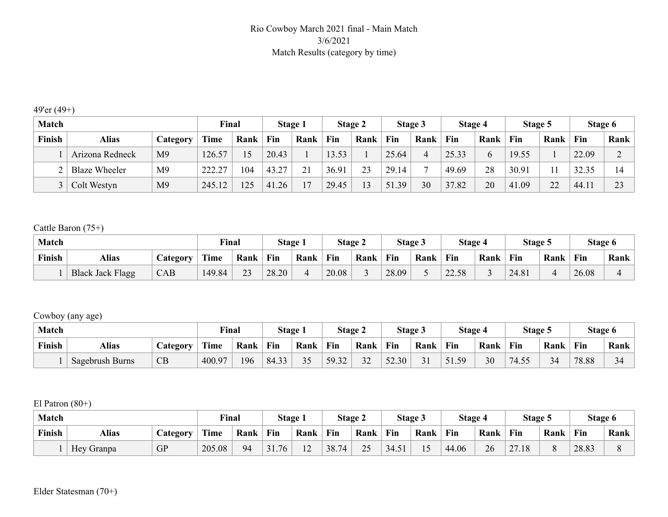## Rio Cowboy March 2021 final - Main Match 3/6/2021 Match Results (category by time)

## 49'er (49+)

| <b>Match</b> |                      |                | Final       |      |       | <b>Stage 1</b> |       | <b>Stage 2</b> |       | Stage 3 | Stage 4 |      | Stage 5 |                     | Stage 6 |             |
|--------------|----------------------|----------------|-------------|------|-------|----------------|-------|----------------|-------|---------|---------|------|---------|---------------------|---------|-------------|
| Finish       | <b>Alias</b>         | Category       | <b>Time</b> | Rank | Fin   | Rank           | Fin   | Rank           | Fin   | Rank    | Fin     | Rank | Fin     | Rank                | Fin     | Rank        |
|              | Arizona Redneck      | M <sub>9</sub> | 126.57      |      | 20.43 |                | 13.53 |                | 25.64 |         | 25.33   |      | 19.55   |                     | 22.09   | $\sim$<br>∠ |
|              | <b>Blaze Wheeler</b> | M <sub>9</sub> | 222.27      | 104  | 43.27 | 21             | 36.91 | 2 <sup>2</sup> | 29.14 |         | 49.69   | 28   | 30.91   |                     | 32.35   | 14          |
|              | Colt Westyn          | M <sub>9</sub> | 245.12      | 125  | 41.26 | $\mathbf{r}$   | 29.45 | 13             | 51.39 | 30      | 37.82   | 20   | 41.09   | $\mathcal{D}$<br>∠∠ | 44.11   | 23          |

## Cattle Baron (75+)

| Match  |                         |                 | <b>Final</b> |           |       | <b>Stage 1</b> |       | <b>Stage 2</b> |       | Stage 3 | Stage 4               |      | Stage 5 |      | Stage 6 |      |
|--------|-------------------------|-----------------|--------------|-----------|-------|----------------|-------|----------------|-------|---------|-----------------------|------|---------|------|---------|------|
| Finish | Alias                   | <b>Category</b> | Time         | Rank      | Fin   | Rank           | Fin   | Rank           | Fin   | Rank    | Fin                   | Rank | Fin     | Rank | Fin     | Rank |
|        | <b>Black Jack Flagg</b> | CAB             | 149.84       | າາ<br>ر ب | 28.20 |                | 20.08 |                | 28.09 |         | 58<br>$\sim$<br>22.00 |      | 24.81   |      | 26.08   |      |

## Cowboy (any age)

| <b>Match</b> |                 |          | <b>Final</b> |      |       | <b>Stage 1</b> | Stage $\angle$ |      |       | Stage 3 | Stage 4    |      | Stage 5 |         | Stage 6 |      |
|--------------|-----------------|----------|--------------|------|-------|----------------|----------------|------|-------|---------|------------|------|---------|---------|---------|------|
| Finish       | <b>Alias</b>    | Category | Time         | Rank | Fin   | Rank           | Fin            | Rank | Fin   | Rank    | Fin        | Rank | Fin     | Rank    | Fin     | Rank |
|              | Sagebrush Burns | CB       | 400.97       | 196  | 84.33 | 35             | 59.32          | 32   | 52.30 | ◡       | 59<br>51.5 | 30   | 74.55   | 34<br>ັ | 78.88   | 34   |

## El Patron (80+)

| <b>Match</b> |              |                 | <b>Final</b> |      | <b>Stage 1</b> |                                    |       | Stage 2 |      | Stage 3 | Stage 4 |      | Stage 5 |      | Stage 6 |      |
|--------------|--------------|-----------------|--------------|------|----------------|------------------------------------|-------|---------|------|---------|---------|------|---------|------|---------|------|
| Finish       | <b>Alias</b> | <b>Lategory</b> | <b>Time</b>  | Rank | Fin            | Rank                               | Fin   | Rank    | Fin  | Rank    | Fin     | Rank | Fin     | Rank | Fin     | Rank |
|              | Hey Granpa   | <b>GP</b>       | 205.08       | 94   | .76<br>31      | $\sim$<br>$\overline{\phantom{0}}$ | 38.74 | 25      | 34.5 |         | 44.06   | 26   | 27.18   |      | 28.83   |      |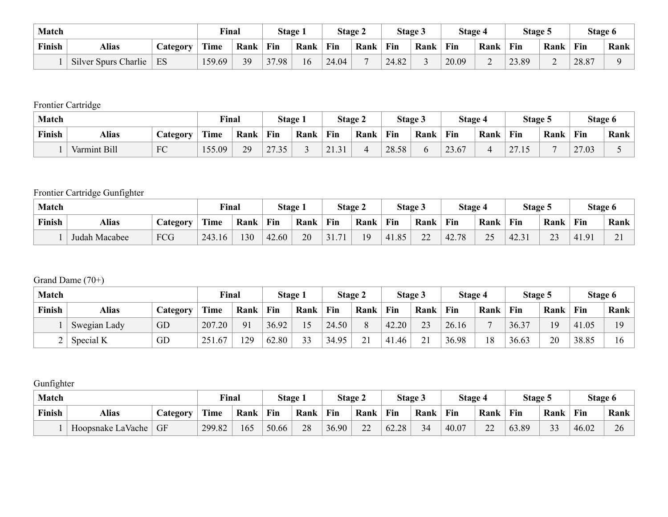| <b>Match</b> |                      |          | <b>Final</b> |      |       | <b>Stage 1</b> |       | Stage 2 |       | Stage 3 | <b>Stage 4</b> |                | Stage 5 |                | Stage 6 |      |
|--------------|----------------------|----------|--------------|------|-------|----------------|-------|---------|-------|---------|----------------|----------------|---------|----------------|---------|------|
| Finish       | <b>Alias</b>         | Category | Time         | Rank | Fin   | Rank           | Fin   | Rank    | Fin   | Rank    | Fin            | Rank           | Fin     | Rank           | Fin     | Rank |
|              | Silver Spurs Charlie | ES       | 159.69       | 39   | 37.98 | 16             | 24.04 |         | 24.82 |         | 20.09          | $\overline{ }$ | 23.89   | $\overline{ }$ | 28.87   |      |

Frontier Cartridge

| Match  |              |          | <b>Final</b> |      |                                  | <b>Stage 1</b> |       | Stage 2 |       | <b>Stage 3</b> | <b>Stage 4</b> |      | Stage 5               |      | Stage 6 |      |
|--------|--------------|----------|--------------|------|----------------------------------|----------------|-------|---------|-------|----------------|----------------|------|-----------------------|------|---------|------|
| Finish | <b>Alias</b> | Category | Time         | Rank | Fin                              | Rank           | Fin   | Rank    | Fin   | Rank           | Fin            | Rank | Fin                   | Rank | Fin     | Rank |
|        | Varmint Bill | FC       | 155.09       | 29   | 2735<br>$\angle$ $\angle$ $\cup$ |                | 21.31 | ∸       | 28.58 |                | 23.67          |      | $\mathcal{L}$<br>21.1 |      | 27.03   |      |

## Frontier Cartridge Gunfighter

| <b>Match</b> |               |                 | <b>Final</b> |      | Stage i |      |           | Stage 2 | <b>Stage 3</b> |             | <b>Stage 4</b> |                 | Stage 5 |               | Stage 6 |              |
|--------------|---------------|-----------------|--------------|------|---------|------|-----------|---------|----------------|-------------|----------------|-----------------|---------|---------------|---------|--------------|
| Finish       | <b>Alias</b>  | <i>Category</i> | <b>Time</b>  | Rank | Fin     | Rank | Fin       | Rank    | Fin            | Rank        | Fin            | Rank            | Fin     | Rank          | Fin     | Rank         |
|              | Judah Macabee | FCG             | 243.16       | 130  | 42.60   | 20   | 71<br>JI. | 19      | 41.85          | $\sim$<br>∼ | 42.78          | $\gamma$<br>ب ک | 42.31   | $\sim$<br>ر ب | 41.91   | $\sim$<br>∠. |

## Grand Dame (70+)

| <b>Match</b> |              |                 | Final  |      |       | Stage 1 |       | Stage 2  |       | Stage 3 | Stage 4 |      | Stage 5 |      | Stage 6 |      |
|--------------|--------------|-----------------|--------|------|-------|---------|-------|----------|-------|---------|---------|------|---------|------|---------|------|
| Finish       | <b>Alias</b> | <i>Category</i> | Time   | Rank | Fin   | Rank    | Fin   | Rank     | Fin   | Rank    | Fin     | Rank | Fin     | Rank | Fin     | Rank |
|              | Swegian Lady | GD              | 207.20 | 91   | 36.92 | 15      | 24.50 | $\Omega$ | 42.20 | 23      | 26.16   |      | 36.37   | 1 Q  | 41.05   | 19   |
| ∠            | Special K    | GD              | 251.67 | 129  | 62.80 | 33      | 34.95 | ້⊥       | 41.46 | 21<br>◢ | 36.98   |      | 36.63   | 20   | 38.85   | 16   |

## Gunfighter

| <b>Match</b> |                   |                 | <b>Final</b> |      | Stage 1 |      | Stage 2 |                    |       | <b>Stage 3</b> | <b>Stage 4</b> |                     | Stage: |                                | Stage 6 |      |
|--------------|-------------------|-----------------|--------------|------|---------|------|---------|--------------------|-------|----------------|----------------|---------------------|--------|--------------------------------|---------|------|
| Finish       | Alias             | <b>Category</b> | Time         | Rank | Fin     | Rank | Fin     | Rank               | Fin   | Rank           | Fin            | Rank                | Fin    | Rank                           | Fin     | Rank |
|              | Hoopsnake LaVache | <b>GF</b>       | 299.82       | 165  | 50.66   | 28   | 36.90   | $\mathbf{a}$<br>∠∠ | 62.28 | 34<br>J I      | 40.07          | $\mathcal{D}$<br>∠∠ | 63.89  | $\mathbf{\Omega}$<br>11<br>ر ر | 46.02   | 26   |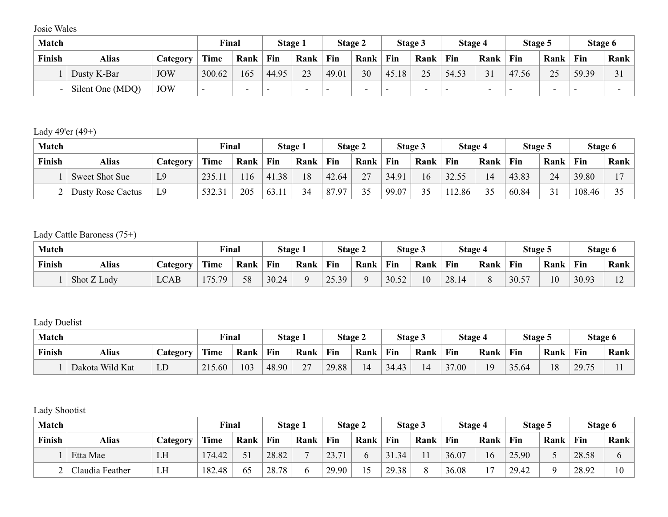Josie Wales

| <b>Match</b> |                  |                 | Final  |      |       | Stage 1                  |       | Stage 2                  |       | Stage 3 | Stage 4 |      | Stage 5 |          | Stage 6 |      |
|--------------|------------------|-----------------|--------|------|-------|--------------------------|-------|--------------------------|-------|---------|---------|------|---------|----------|---------|------|
| Finish       | <b>Alias</b>     | <b>Category</b> | Time   | Rank | Fin   | Rank                     | Fin   | Rank                     | Fin   | Rank    | Fin     | Rank | Fin     | Rank     | Fin     | Rank |
|              | Dusty K-Bar      | <b>JOW</b>      | 300.62 | 165  | 44.95 | 23                       | 49.01 | 30                       | 45.18 | 25      | 54.53   | 31   | 47.56   | $\gamma$ | 59.39   | 31   |
|              | Silent One (MDQ) | <b>JOW</b>      | $\sim$ | -    |       | $\overline{\phantom{0}}$ |       | $\overline{\phantom{0}}$ |       | -       | -       |      |         |          | -       |      |

Lady 49'er (49+)

| <b>Match</b> |                       |                | Final  |      |       | Stage 1 |       | Stage 2        |       | Stage 3       | Stage 4 |      | Stage 5 |        | Stage 6 |                |
|--------------|-----------------------|----------------|--------|------|-------|---------|-------|----------------|-------|---------------|---------|------|---------|--------|---------|----------------|
| Finish       | Alias                 | Category       | Time   | Rank | Fin   | Rank    | Fin   | Rank           | Fin   | Rank          | Fin     | Rank | Fin     | Rank   | Fin     | Rank           |
|              | <b>Sweet Shot Sue</b> | L <sub>9</sub> | 235.11 | 16   | 41.38 | 18      | 42.64 | 27<br><u>_</u> | 34.91 | 16            | 32.55   | 14   | 43.83   | 24     | 39.80   | 1 <sub>7</sub> |
|              | Dusty Rose Cactus     | L <sub>9</sub> | 532.31 | 205  | 63.11 | 34      | 87.97 | 25             | 99.07 | $\sim$ $\sim$ | 112.86  | 35   | 60.84   | $\sim$ | 108.46  | 25             |

Lady Cattle Baroness (75+)

| <b>Match</b> |             |                 | Final       |      | Stage 1 |      | Stage 2 |      |       | <b>Stage 3</b> | <b>Stage 4</b> |      | Stage 5 |      | Stage 6 |                          |
|--------------|-------------|-----------------|-------------|------|---------|------|---------|------|-------|----------------|----------------|------|---------|------|---------|--------------------------|
| Finish       | Alias       | <i>Category</i> | <b>Time</b> | Rank | Fin     | Rank | Fin     | Rank | Fin   | Rank           | Fin            | Rank | Fin     | Rank | Fin     | Rank                     |
|              | Shot Z Lady | <b>LCAB</b>     | 175.79      | 58   | 30.24   |      | 25.39   |      | 30.52 | 10             | 28.14          |      | 30.57   | 10   | 30.93   | $\sim$<br>$\overline{ }$ |

Lady Duelist

| <b>Match</b> |                 |                 | Final  |      | Stage      |        |       | Stage 2 |       | <b>Stage 3</b> | Stage 4 |      | Stage 5 |      | Stage 6 |      |
|--------------|-----------------|-----------------|--------|------|------------|--------|-------|---------|-------|----------------|---------|------|---------|------|---------|------|
| Finish       | <b>Alias</b>    | <b>Category</b> | Time   | Rank | <b>Fin</b> | Rank   | Fin   | Rank    | Fin   | Rank           | Fin     | Rank | Fin     | Rank | Fin     | Rank |
|              | Dakota Wild Kat | LD              | 215.60 | 103  | 48.90      | $\sim$ | 29.88 | 14      | 34.43 | $\Delta$       | 37.00   | 1 Q  | 35.64   | 18   | 29.75   |      |

Lady Shootist

| Match  |                 |          | <b>Final</b> |      | Stage 1 |      |            | <b>Stage 2</b> |       | Stage 3 | <b>Stage 4</b> |                | Stage 5 |      | Stage 6 |      |
|--------|-----------------|----------|--------------|------|---------|------|------------|----------------|-------|---------|----------------|----------------|---------|------|---------|------|
| Finish | <b>Alias</b>    | Category | <b>Time</b>  | Rank | Fin     | Rank | Fin        | Rank           | Fin   | Rank    | Fin            | Rank           | Fin     | Rank | Fin     | Rank |
|        | Etta Mae        | LH       | 174.42       |      | 28.82   |      | 23.7<br>71 |                | 31.34 |         | 36.07          | 16             | 25.90   |      | 28.58   |      |
|        | Claudia Feather | LH       | 182.48       | 65   | 28.78   |      | 29.90      |                | 29.38 |         | 36.08          | 1 <sub>7</sub> | 29.42   |      | 28.92   | 10   |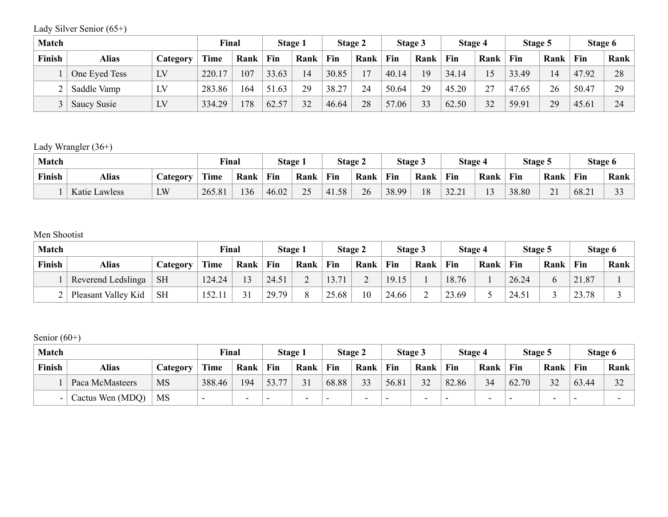Lady Silver Senior (65+)

| <b>Match</b> |               |                 | Final       |      |       | Stage 1 |       | Stage 2 |            | Stage 3 | Stage 4 |      | Stage 5 |      | Stage 6 |      |
|--------------|---------------|-----------------|-------------|------|-------|---------|-------|---------|------------|---------|---------|------|---------|------|---------|------|
| Finish       | <b>Alias</b>  | <i>Category</i> | <b>Time</b> | Rank | Fin   | Rank    | Fin   | Rank    | Fin        | Rank    | Fin     | Rank | Fin     | Rank | Fin     | Rank |
|              | One Eyed Tess | LV              | 220.17      | 107  | 33.63 | 14      | 30.85 |         | 40.14      | 19      | 34.14   |      | 33.49   | 14   | 47.92   | 28   |
|              | Saddle Vamp   | LV              | 283.86      | 164  | 51.63 | 29      | 38.27 | 24      | 50.64      | 29      | 45.20   | 27   | 47.65   | 26   | 50.47   | 29   |
|              | Saucy Susie   | LV              | 334.29      | 178  | 62.57 | 32      | 46.64 | 28      | 57<br>0.06 | 33      | 62.50   | 32   | 59.91   | 29   | 45.61   | 24   |

## Lady Wrangler (36+)

| <b>Match</b> |                          |    | Final       |      | Stage 1 |           | Stage 2 |      |       | <b>Stage 3</b> | <b>Stage 4</b> |               | Stage 5 |                  | Stage 6 |               |
|--------------|--------------------------|----|-------------|------|---------|-----------|---------|------|-------|----------------|----------------|---------------|---------|------------------|---------|---------------|
| Finish       | Alias<br><b>Category</b> |    | <b>Time</b> | Rank | Fin     | Rank      | Fin     | Rank | Fin   | Rank           | Fin            | Rank          | Fin     | Rank             | Fin     | Rank          |
|              | Katie Lawless            | LW | 265.81      | 136  | 46.02   | 25<br>ر ب | 41.58   | 26   | 38.99 | 10<br>10       | 22.21<br>32.21 | $\sim$<br>. . | 38.80   | $\bigcap$ 1<br>◢ | 68.21   | $\sim$<br>J J |

## Men Shootist

| <b>Match</b> |                     |                 | Final       |      |       | Stage 1 |             | Stage 2                  |       | Stage 3 | Stage 4 |      | Stage 5 |      | Stage 6 |      |
|--------------|---------------------|-----------------|-------------|------|-------|---------|-------------|--------------------------|-------|---------|---------|------|---------|------|---------|------|
| Finish       | <b>Alias</b>        | <b>Category</b> | <b>Time</b> | Rank | Fin   | Rank    | Fin         | Rank                     | Fin   | Rank    | Fin     | Rank | Fin     | Rank | Fin     | Rank |
|              | Reverend Ledslinga  | <b>SH</b>       | 124.24      |      | 24.51 | ∸       | 71<br>15.71 | $\overline{\phantom{0}}$ | 19.15 |         | 18.76   |      | 26.24   |      | 21.87   |      |
|              | Pleasant Valley Kid | <b>SH</b>       | 152.11      |      | 29.79 | O       | 25.68       | 10                       | 24.66 |         | 23.69   |      | 24.51   |      | 23.78   |      |

## Senior  $(60+)$

| <b>Match</b> |                  |           | Final  |                          | <b>Stage 1</b> |      |                          | Stage 2                  |       | Stage 3                  | Stage 4                  |                          | Stage 5                  |      | Stage 6 |           |
|--------------|------------------|-----------|--------|--------------------------|----------------|------|--------------------------|--------------------------|-------|--------------------------|--------------------------|--------------------------|--------------------------|------|---------|-----------|
| Finish       | <b>Alias</b>     | Category  | Time   | Rank                     | Fin            | Rank | Fin                      | Rank                     | Fin   | Rank                     | Fin                      | Rank                     | Fin                      | Rank | Fin     | Rank      |
|              | Paca McMasteers  | <b>MS</b> | 388.46 | 194                      | 53.77          | 31   | 68.88                    | 33                       | 56.81 | 32                       | 82.86                    | 34                       | 62.70                    | 32   | 63.44   | 32<br>ے ر |
|              | Cactus Wen (MDQ) | MS        |        | $\overline{\phantom{0}}$ |                | -    | $\overline{\phantom{0}}$ | $\overline{\phantom{0}}$ |       | $\overline{\phantom{0}}$ | $\overline{\phantom{0}}$ | $\overline{\phantom{0}}$ | $\overline{\phantom{0}}$ |      | -       |           |